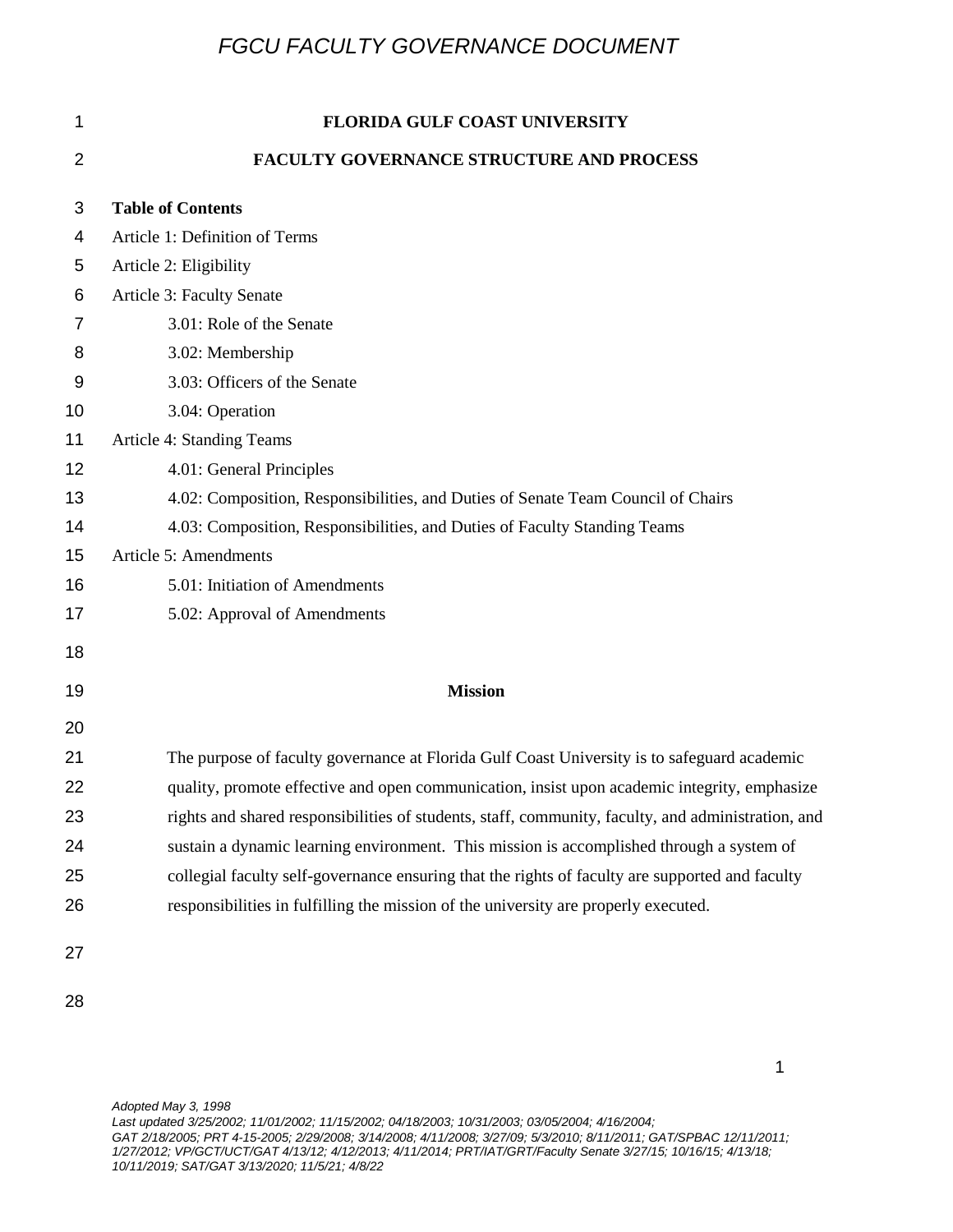| 1  | <b>FLORIDA GULF COAST UNIVERSITY</b>                                                               |
|----|----------------------------------------------------------------------------------------------------|
| 2  | <b>FACULTY GOVERNANCE STRUCTURE AND PROCESS</b>                                                    |
| 3  | <b>Table of Contents</b>                                                                           |
| 4  | Article 1: Definition of Terms                                                                     |
| 5  | Article 2: Eligibility                                                                             |
| 6  | Article 3: Faculty Senate                                                                          |
| 7  | 3.01: Role of the Senate                                                                           |
| 8  | 3.02: Membership                                                                                   |
| 9  | 3.03: Officers of the Senate                                                                       |
| 10 | 3.04: Operation                                                                                    |
| 11 | Article 4: Standing Teams                                                                          |
| 12 | 4.01: General Principles                                                                           |
| 13 | 4.02: Composition, Responsibilities, and Duties of Senate Team Council of Chairs                   |
| 14 | 4.03: Composition, Responsibilities, and Duties of Faculty Standing Teams                          |
| 15 | Article 5: Amendments                                                                              |
| 16 | 5.01: Initiation of Amendments                                                                     |
| 17 | 5.02: Approval of Amendments                                                                       |
| 18 |                                                                                                    |
| 19 | <b>Mission</b>                                                                                     |
| 20 |                                                                                                    |
| 21 | The purpose of faculty governance at Florida Gulf Coast University is to safeguard academic        |
| 22 | quality, promote effective and open communication, insist upon academic integrity, emphasize       |
| 23 | rights and shared responsibilities of students, staff, community, faculty, and administration, and |
| 24 | sustain a dynamic learning environment. This mission is accomplished through a system of           |
| 25 | collegial faculty self-governance ensuring that the rights of faculty are supported and faculty    |
| 26 | responsibilities in fulfilling the mission of the university are properly executed.                |
| 27 |                                                                                                    |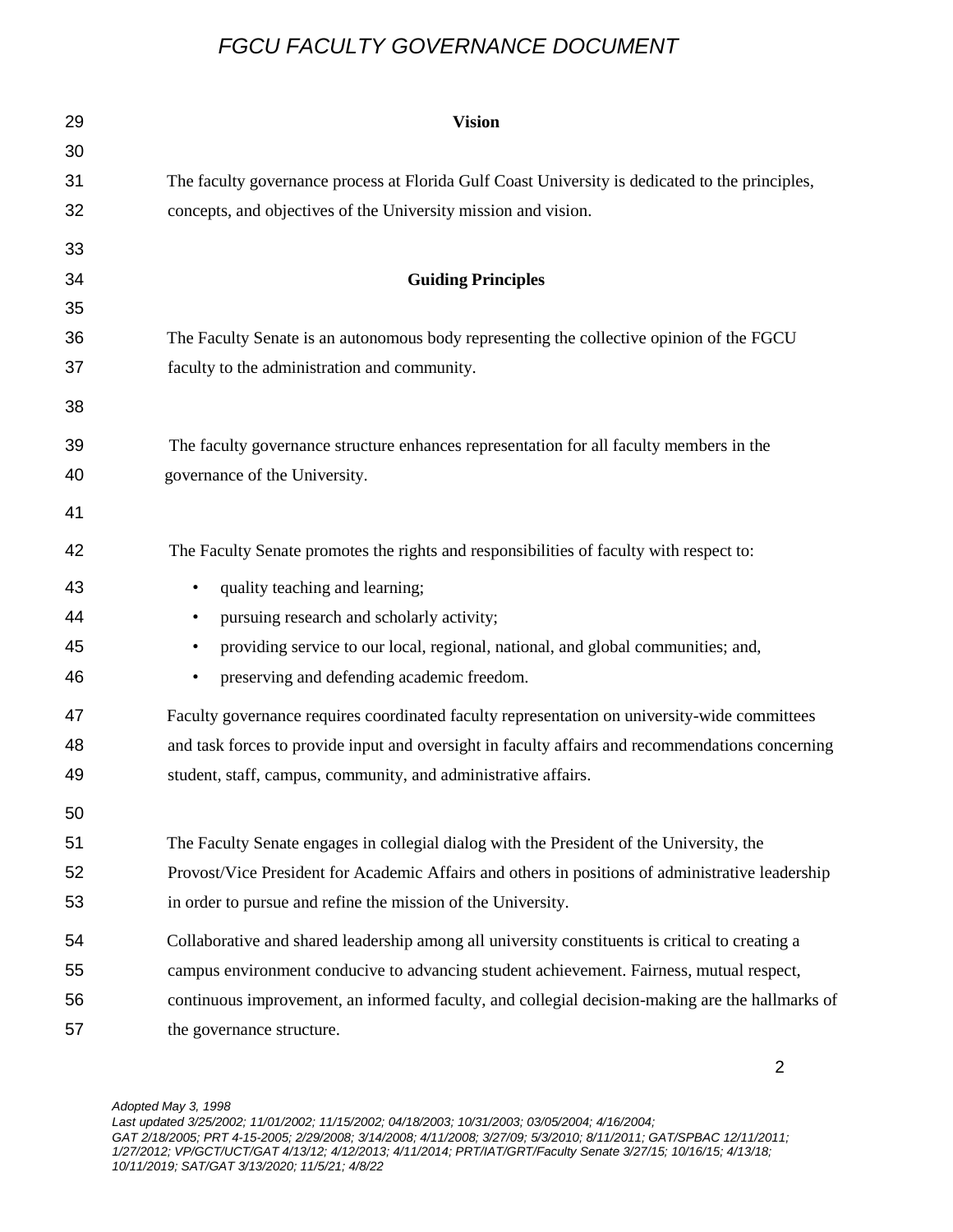| 29 | <b>Vision</b>                                                                                    |
|----|--------------------------------------------------------------------------------------------------|
| 30 |                                                                                                  |
| 31 | The faculty governance process at Florida Gulf Coast University is dedicated to the principles,  |
| 32 | concepts, and objectives of the University mission and vision.                                   |
| 33 |                                                                                                  |
| 34 | <b>Guiding Principles</b>                                                                        |
| 35 |                                                                                                  |
| 36 | The Faculty Senate is an autonomous body representing the collective opinion of the FGCU         |
| 37 | faculty to the administration and community.                                                     |
| 38 |                                                                                                  |
| 39 | The faculty governance structure enhances representation for all faculty members in the          |
| 40 | governance of the University.                                                                    |
| 41 |                                                                                                  |
| 42 | The Faculty Senate promotes the rights and responsibilities of faculty with respect to:          |
| 43 | quality teaching and learning;<br>$\bullet$                                                      |
| 44 | pursuing research and scholarly activity;<br>$\bullet$                                           |
| 45 | providing service to our local, regional, national, and global communities; and,<br>$\bullet$    |
| 46 | preserving and defending academic freedom.<br>٠                                                  |
| 47 | Faculty governance requires coordinated faculty representation on university-wide committees     |
| 48 | and task forces to provide input and oversight in faculty affairs and recommendations concerning |
| 49 | student, staff, campus, community, and administrative affairs.                                   |
| 50 |                                                                                                  |
| 51 | The Faculty Senate engages in collegial dialog with the President of the University, the         |
| 52 | Provost/Vice President for Academic Affairs and others in positions of administrative leadership |
| 53 | in order to pursue and refine the mission of the University.                                     |
| 54 | Collaborative and shared leadership among all university constituents is critical to creating a  |
| 55 | campus environment conducive to advancing student achievement. Fairness, mutual respect,         |
| 56 | continuous improvement, an informed faculty, and collegial decision-making are the hallmarks of  |
| 57 | the governance structure.                                                                        |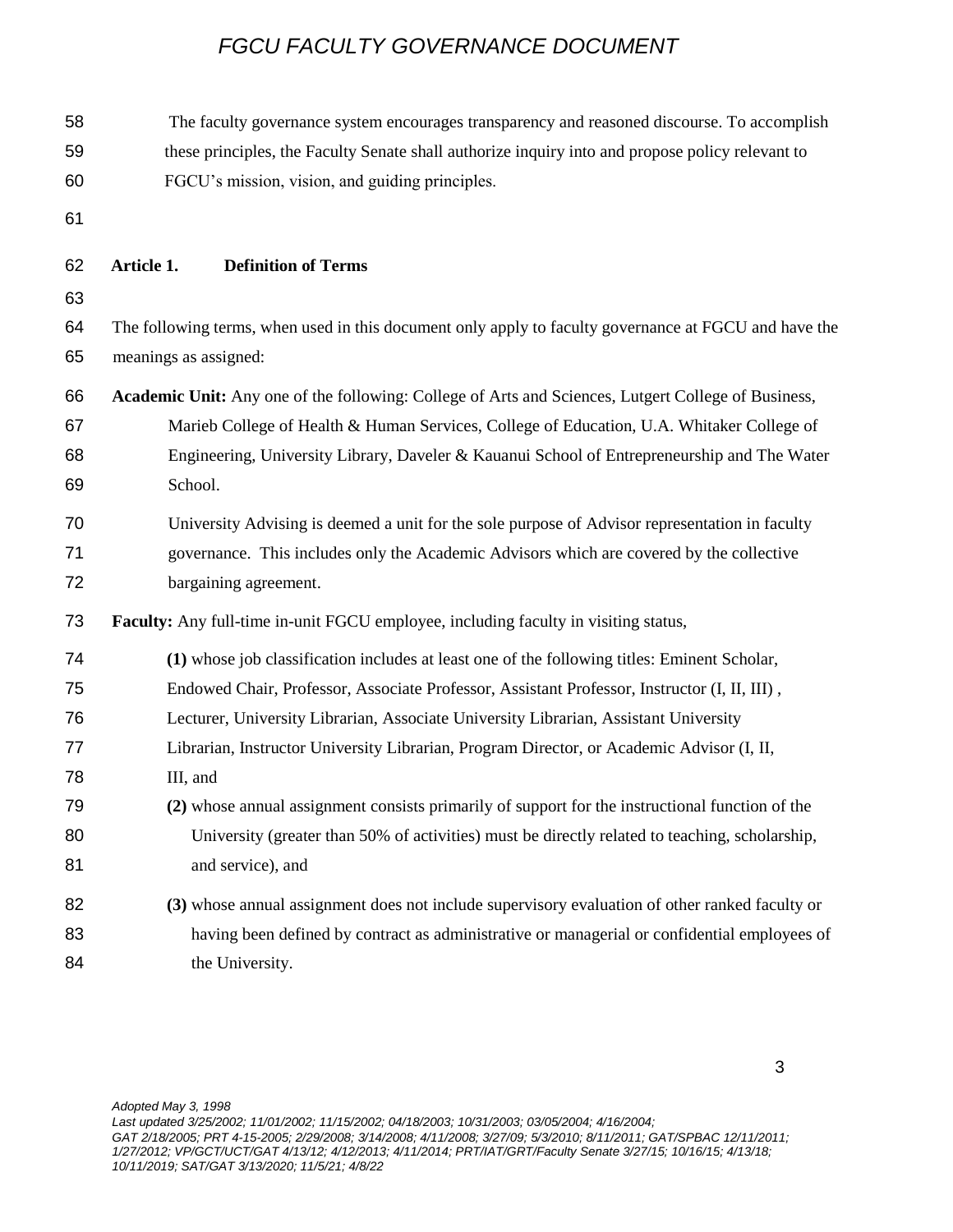| 58 | The faculty governance system encourages transparency and reasoned discourse. To accomplish           |
|----|-------------------------------------------------------------------------------------------------------|
| 59 | these principles, the Faculty Senate shall authorize inquiry into and propose policy relevant to      |
| 60 | FGCU's mission, vision, and guiding principles.                                                       |
| 61 |                                                                                                       |
| 62 | Article 1.<br><b>Definition of Terms</b>                                                              |
| 63 |                                                                                                       |
| 64 | The following terms, when used in this document only apply to faculty governance at FGCU and have the |
| 65 | meanings as assigned:                                                                                 |
| 66 | Academic Unit: Any one of the following: College of Arts and Sciences, Lutgert College of Business,   |
| 67 | Marieb College of Health & Human Services, College of Education, U.A. Whitaker College of             |
| 68 | Engineering, University Library, Daveler & Kauanui School of Entrepreneurship and The Water           |
| 69 | School.                                                                                               |
| 70 | University Advising is deemed a unit for the sole purpose of Advisor representation in faculty        |
| 71 | governance. This includes only the Academic Advisors which are covered by the collective              |
| 72 | bargaining agreement.                                                                                 |
| 73 | <b>Faculty:</b> Any full-time in-unit FGCU employee, including faculty in visiting status,            |
| 74 | (1) whose job classification includes at least one of the following titles: Eminent Scholar,          |
| 75 | Endowed Chair, Professor, Associate Professor, Assistant Professor, Instructor (I, II, III),          |
| 76 | Lecturer, University Librarian, Associate University Librarian, Assistant University                  |
| 77 | Librarian, Instructor University Librarian, Program Director, or Academic Advisor (I, II,             |
| 78 | III, and                                                                                              |
| 79 | (2) whose annual assignment consists primarily of support for the instructional function of the       |
| 80 | University (greater than 50% of activities) must be directly related to teaching, scholarship,        |
| 81 | and service), and                                                                                     |
| 82 | (3) whose annual assignment does not include supervisory evaluation of other ranked faculty or        |
| 83 | having been defined by contract as administrative or managerial or confidential employees of          |
| 84 | the University.                                                                                       |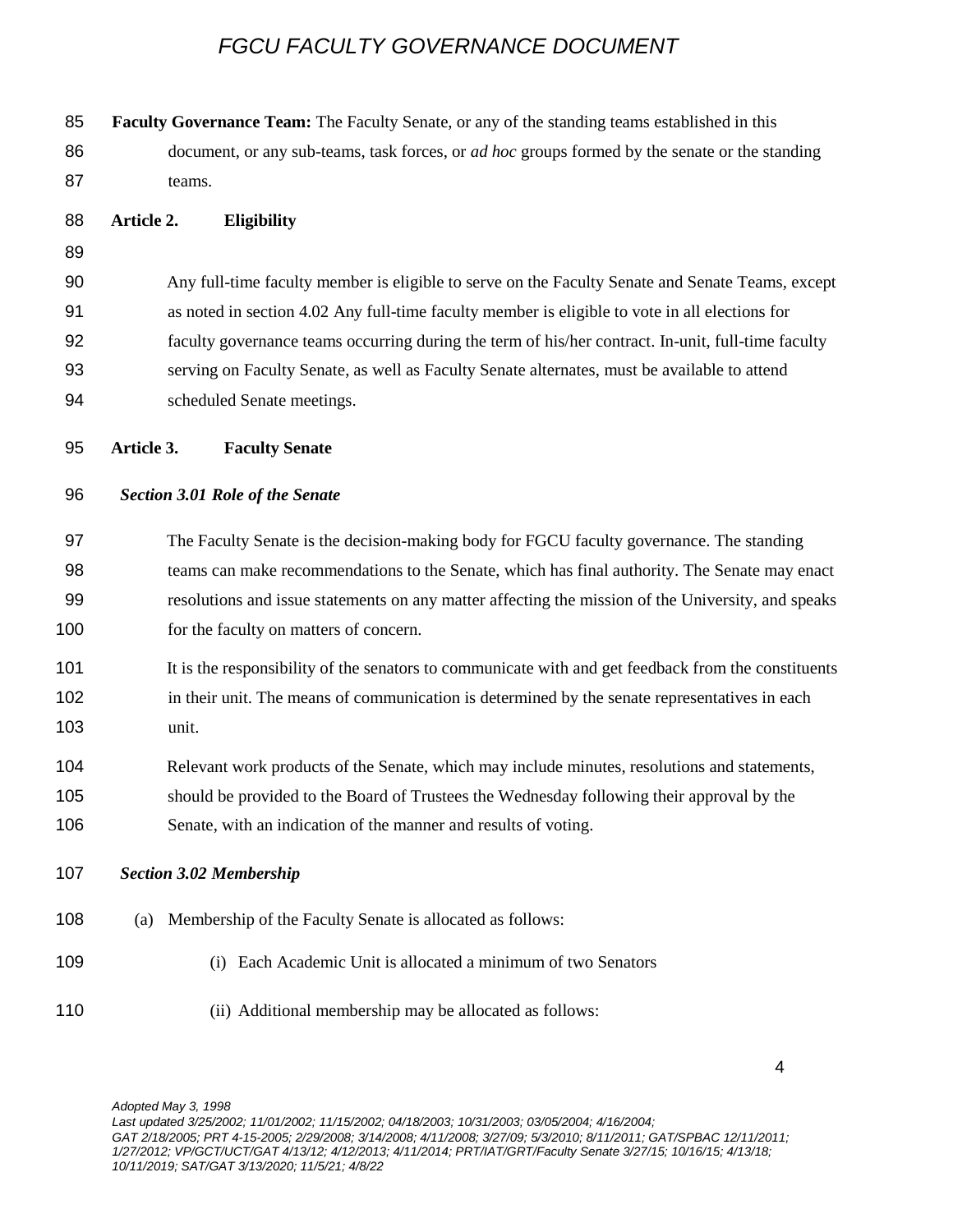| 85  |            |        | Faculty Governance Team: The Faculty Senate, or any of the standing teams established in this         |
|-----|------------|--------|-------------------------------------------------------------------------------------------------------|
| 86  |            |        | document, or any sub-teams, task forces, or <i>ad hoc</i> groups formed by the senate or the standing |
| 87  |            | teams. |                                                                                                       |
| 88  | Article 2. |        | <b>Eligibility</b>                                                                                    |
| 89  |            |        |                                                                                                       |
| 90  |            |        | Any full-time faculty member is eligible to serve on the Faculty Senate and Senate Teams, except      |
| 91  |            |        | as noted in section 4.02 Any full-time faculty member is eligible to vote in all elections for        |
| 92  |            |        | faculty governance teams occurring during the term of his/her contract. In-unit, full-time faculty    |
| 93  |            |        | serving on Faculty Senate, as well as Faculty Senate alternates, must be available to attend          |
| 94  |            |        | scheduled Senate meetings.                                                                            |
| 95  | Article 3. |        | <b>Faculty Senate</b>                                                                                 |
| 96  |            |        | <b>Section 3.01 Role of the Senate</b>                                                                |
| 97  |            |        | The Faculty Senate is the decision-making body for FGCU faculty governance. The standing              |
| 98  |            |        | teams can make recommendations to the Senate, which has final authority. The Senate may enact         |
| 99  |            |        | resolutions and issue statements on any matter affecting the mission of the University, and speaks    |
| 100 |            |        | for the faculty on matters of concern.                                                                |
| 101 |            |        | It is the responsibility of the senators to communicate with and get feedback from the constituents   |
| 102 |            |        | in their unit. The means of communication is determined by the senate representatives in each         |
| 103 |            | unit.  |                                                                                                       |
| 104 |            |        | Relevant work products of the Senate, which may include minutes, resolutions and statements,          |
| 105 |            |        | should be provided to the Board of Trustees the Wednesday following their approval by the             |
| 106 |            |        | Senate, with an indication of the manner and results of voting.                                       |
| 107 |            |        | <b>Section 3.02 Membership</b>                                                                        |
| 108 | (a)        |        | Membership of the Faculty Senate is allocated as follows:                                             |
| 109 |            |        | (i) Each Academic Unit is allocated a minimum of two Senators                                         |
| 110 |            |        | (ii) Additional membership may be allocated as follows:                                               |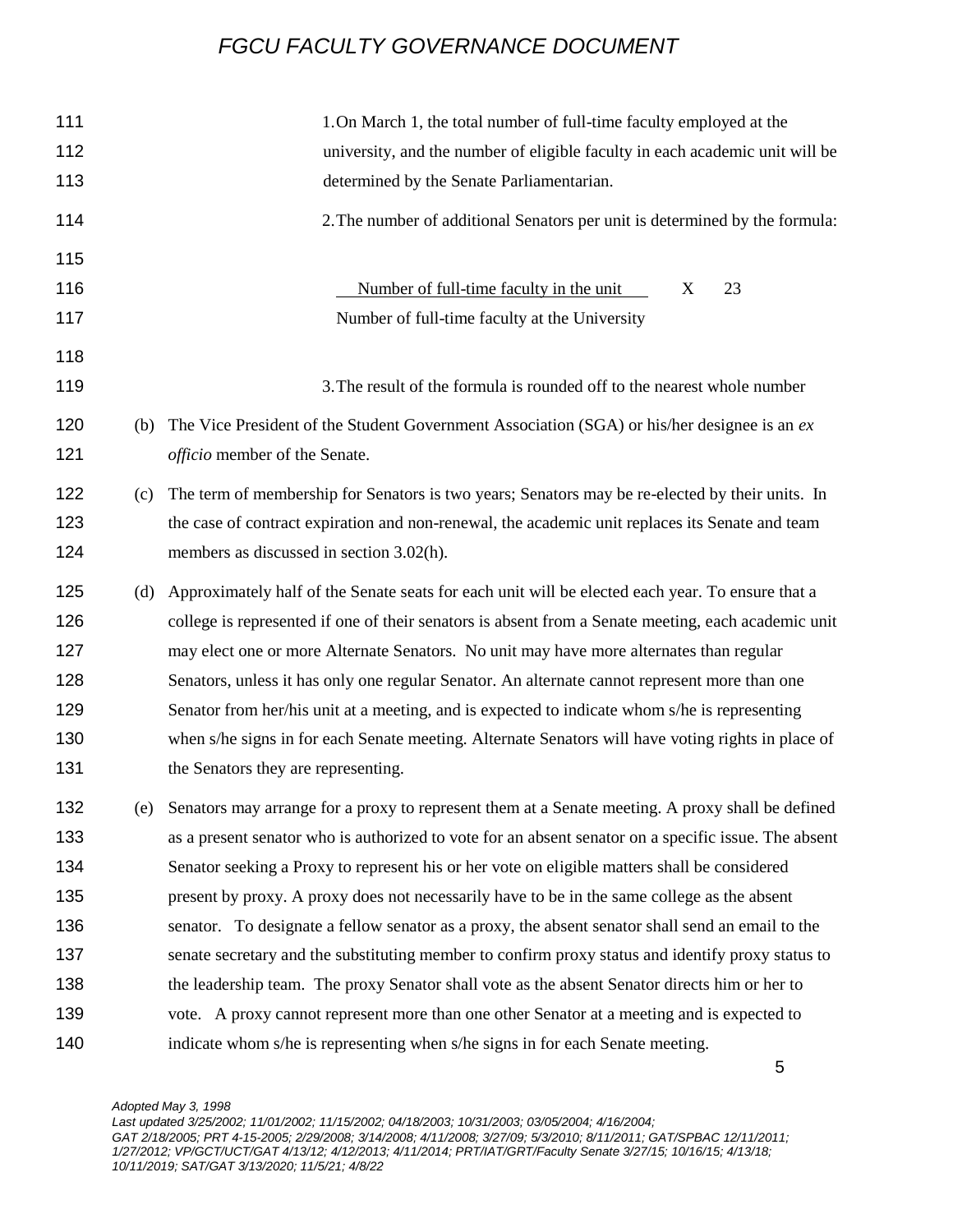| 111 |     | 1. On March 1, the total number of full-time faculty employed at the                                 |
|-----|-----|------------------------------------------------------------------------------------------------------|
| 112 |     | university, and the number of eligible faculty in each academic unit will be                         |
| 113 |     | determined by the Senate Parliamentarian.                                                            |
| 114 |     | 2. The number of additional Senators per unit is determined by the formula:                          |
| 115 |     |                                                                                                      |
| 116 |     | Number of full-time faculty in the unit<br>23<br>X                                                   |
| 117 |     | Number of full-time faculty at the University                                                        |
| 118 |     |                                                                                                      |
| 119 |     | 3. The result of the formula is rounded off to the nearest whole number                              |
| 120 | (b) | The Vice President of the Student Government Association (SGA) or his/her designee is an $ex$        |
| 121 |     | officio member of the Senate.                                                                        |
| 122 | (c) | The term of membership for Senators is two years; Senators may be re-elected by their units. In      |
| 123 |     | the case of contract expiration and non-renewal, the academic unit replaces its Senate and team      |
| 124 |     | members as discussed in section 3.02(h).                                                             |
| 125 | (d) | Approximately half of the Senate seats for each unit will be elected each year. To ensure that a     |
| 126 |     | college is represented if one of their senators is absent from a Senate meeting, each academic unit  |
| 127 |     | may elect one or more Alternate Senators. No unit may have more alternates than regular              |
| 128 |     | Senators, unless it has only one regular Senator. An alternate cannot represent more than one        |
| 129 |     | Senator from her/his unit at a meeting, and is expected to indicate whom s/he is representing        |
| 130 |     | when s/he signs in for each Senate meeting. Alternate Senators will have voting rights in place of   |
| 131 |     | the Senators they are representing.                                                                  |
| 132 | (e) | Senators may arrange for a proxy to represent them at a Senate meeting. A proxy shall be defined     |
| 133 |     | as a present senator who is authorized to vote for an absent senator on a specific issue. The absent |
| 134 |     | Senator seeking a Proxy to represent his or her vote on eligible matters shall be considered         |
| 135 |     | present by proxy. A proxy does not necessarily have to be in the same college as the absent          |
| 136 |     | senator. To designate a fellow senator as a proxy, the absent senator shall send an email to the     |
| 137 |     | senate secretary and the substituting member to confirm proxy status and identify proxy status to    |
| 138 |     | the leadership team. The proxy Senator shall vote as the absent Senator directs him or her to        |
| 139 |     | vote. A proxy cannot represent more than one other Senator at a meeting and is expected to           |
| 140 |     | indicate whom s/he is representing when s/he signs in for each Senate meeting.                       |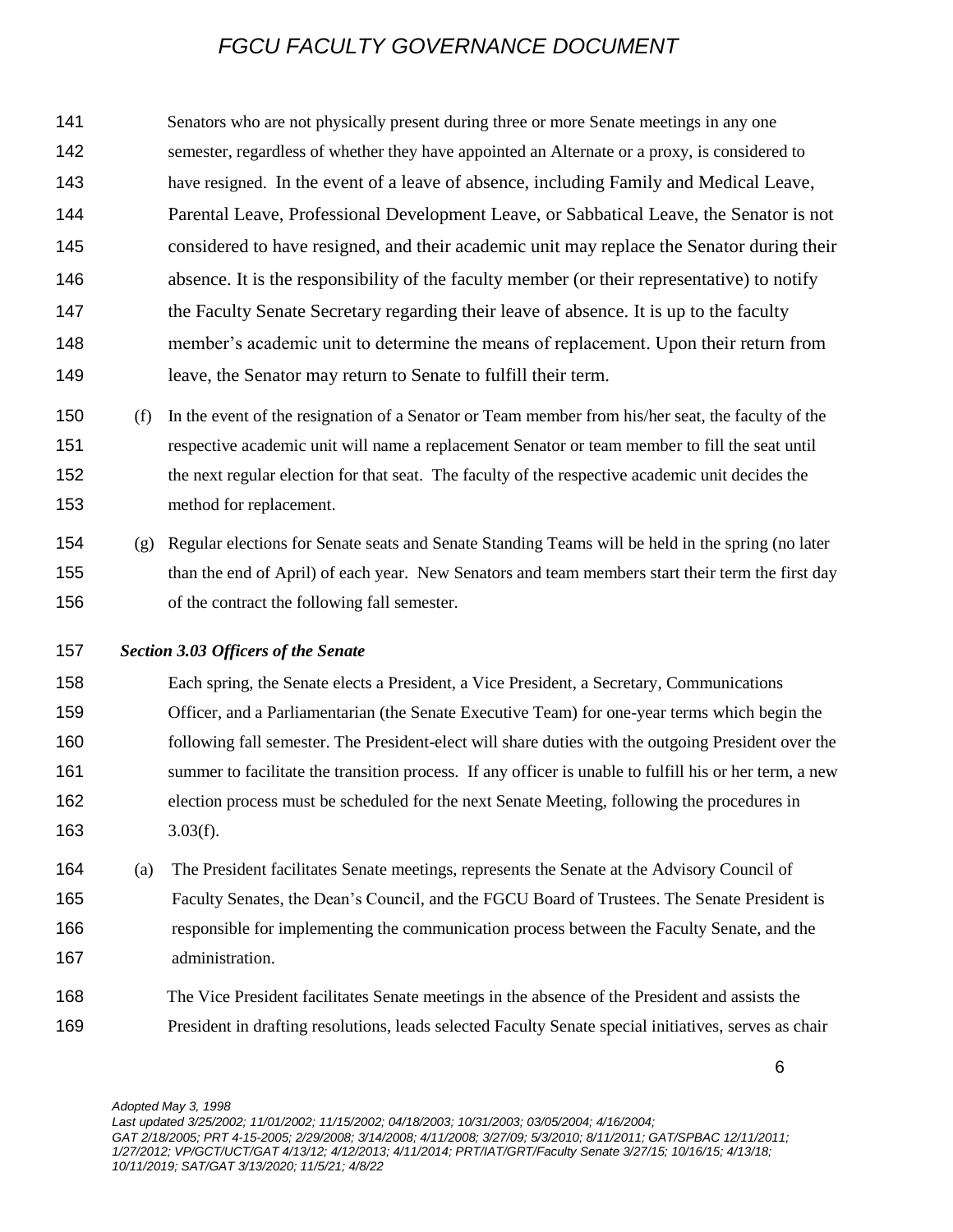Senators who are not physically present during three or more Senate meetings in any one semester, regardless of whether they have appointed an Alternate or a proxy, is considered to have resigned. In the event of a leave of absence, including Family and Medical Leave, Parental Leave, Professional Development Leave, or Sabbatical Leave, the Senator is not considered to have resigned, and their academic unit may replace the Senator during their absence. It is the responsibility of the faculty member (or their representative) to notify the Faculty Senate Secretary regarding their leave of absence. It is up to the faculty member's academic unit to determine the means of replacement. Upon their return from leave, the Senator may return to Senate to fulfill their term.

 (f) In the event of the resignation of a Senator or Team member from his/her seat, the faculty of the respective academic unit will name a replacement Senator or team member to fill the seat until the next regular election for that seat. The faculty of the respective academic unit decides the method for replacement.

- (g) Regular elections for Senate seats and Senate Standing Teams will be held in the spring (no later than the end of April) of each year. New Senators and team members start their term the first day of the contract the following fall semester.
- *Section 3.03 Officers of the Senate*

 Each spring, the Senate elects a President, a Vice President, a Secretary, Communications Officer, and a Parliamentarian (the Senate Executive Team) for one-year terms which begin the following fall semester. The President-elect will share duties with the outgoing President over the 161 summer to facilitate the transition process. If any officer is unable to fulfill his or her term, a new election process must be scheduled for the next Senate Meeting, following the procedures in 3.03(f).

- (a) The President facilitates Senate meetings, represents the Senate at the Advisory Council of Faculty Senates, the Dean's Council, and the FGCU Board of Trustees. The Senate President is responsible for implementing the communication process between the Faculty Senate, and the administration.
- The Vice President facilitates Senate meetings in the absence of the President and assists the President in drafting resolutions, leads selected Faculty Senate special initiatives, serves as chair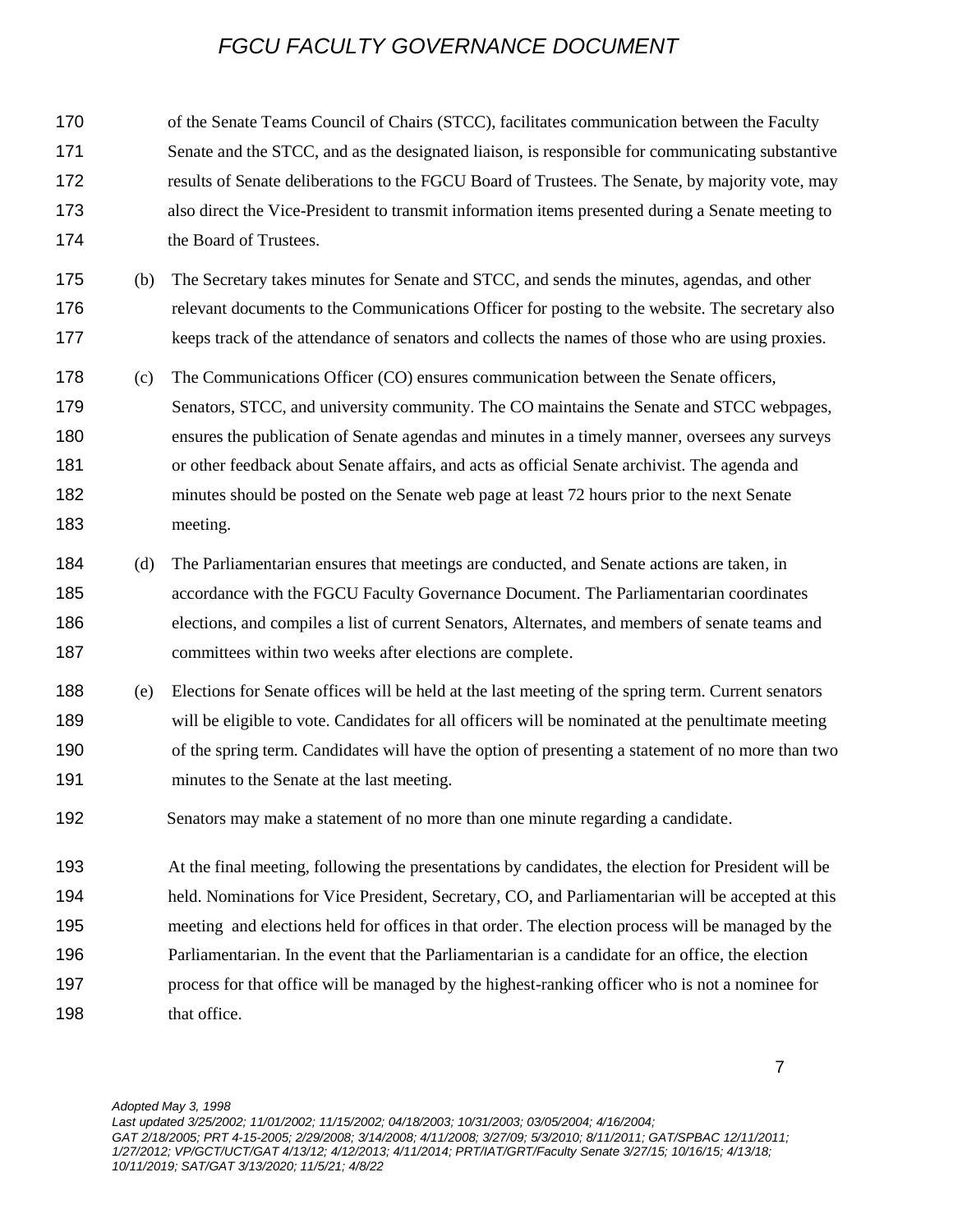| 170 |     | of the Senate Teams Council of Chairs (STCC), facilitates communication between the Faculty         |
|-----|-----|-----------------------------------------------------------------------------------------------------|
| 171 |     | Senate and the STCC, and as the designated liaison, is responsible for communicating substantive    |
| 172 |     | results of Senate deliberations to the FGCU Board of Trustees. The Senate, by majority vote, may    |
| 173 |     | also direct the Vice-President to transmit information items presented during a Senate meeting to   |
| 174 |     | the Board of Trustees.                                                                              |
| 175 | (b) | The Secretary takes minutes for Senate and STCC, and sends the minutes, agendas, and other          |
| 176 |     | relevant documents to the Communications Officer for posting to the website. The secretary also     |
| 177 |     | keeps track of the attendance of senators and collects the names of those who are using proxies.    |
| 178 | (c) | The Communications Officer (CO) ensures communication between the Senate officers,                  |
| 179 |     | Senators, STCC, and university community. The CO maintains the Senate and STCC webpages,            |
| 180 |     | ensures the publication of Senate agendas and minutes in a timely manner, oversees any surveys      |
| 181 |     | or other feedback about Senate affairs, and acts as official Senate archivist. The agenda and       |
| 182 |     | minutes should be posted on the Senate web page at least 72 hours prior to the next Senate          |
| 183 |     | meeting.                                                                                            |
| 184 | (d) | The Parliamentarian ensures that meetings are conducted, and Senate actions are taken, in           |
| 185 |     | accordance with the FGCU Faculty Governance Document. The Parliamentarian coordinates               |
| 186 |     | elections, and compiles a list of current Senators, Alternates, and members of senate teams and     |
| 187 |     | committees within two weeks after elections are complete.                                           |
| 188 | (e) | Elections for Senate offices will be held at the last meeting of the spring term. Current senators  |
| 189 |     | will be eligible to vote. Candidates for all officers will be nominated at the penultimate meeting  |
| 190 |     | of the spring term. Candidates will have the option of presenting a statement of no more than two   |
| 191 |     | minutes to the Senate at the last meeting.                                                          |
| 192 |     | Senators may make a statement of no more than one minute regarding a candidate.                     |
| 193 |     | At the final meeting, following the presentations by candidates, the election for President will be |
| 194 |     | held. Nominations for Vice President, Secretary, CO, and Parliamentarian will be accepted at this   |
| 195 |     | meeting and elections held for offices in that order. The election process will be managed by the   |
| 196 |     | Parliamentarian. In the event that the Parliamentarian is a candidate for an office, the election   |
| 197 |     | process for that office will be managed by the highest-ranking officer who is not a nominee for     |
| 198 |     | that office.                                                                                        |
|     |     |                                                                                                     |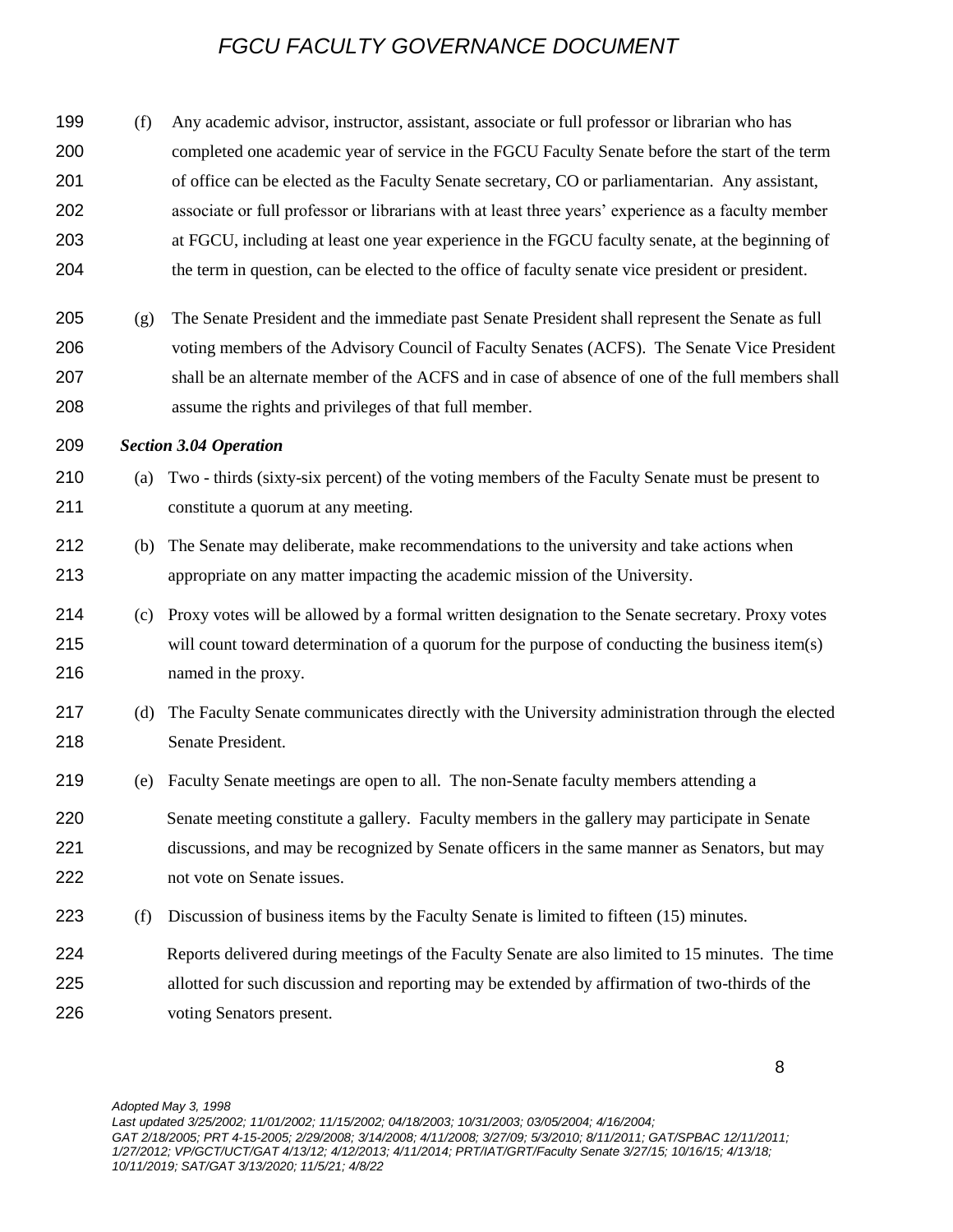| 199<br>200<br>201<br>202<br>203<br>204 | (f) | Any academic advisor, instructor, assistant, associate or full professor or librarian who has<br>completed one academic year of service in the FGCU Faculty Senate before the start of the term<br>of office can be elected as the Faculty Senate secretary, CO or parliamentarian. Any assistant,<br>associate or full professor or librarians with at least three years' experience as a faculty member<br>at FGCU, including at least one year experience in the FGCU faculty senate, at the beginning of<br>the term in question, can be elected to the office of faculty senate vice president or president. |
|----------------------------------------|-----|-------------------------------------------------------------------------------------------------------------------------------------------------------------------------------------------------------------------------------------------------------------------------------------------------------------------------------------------------------------------------------------------------------------------------------------------------------------------------------------------------------------------------------------------------------------------------------------------------------------------|
| 205<br>206<br>207<br>208               | (g) | The Senate President and the immediate past Senate President shall represent the Senate as full<br>voting members of the Advisory Council of Faculty Senates (ACFS). The Senate Vice President<br>shall be an alternate member of the ACFS and in case of absence of one of the full members shall<br>assume the rights and privileges of that full member.                                                                                                                                                                                                                                                       |
| 209                                    |     | <b>Section 3.04 Operation</b>                                                                                                                                                                                                                                                                                                                                                                                                                                                                                                                                                                                     |
| 210<br>211                             | (a) | Two - thirds (sixty-six percent) of the voting members of the Faculty Senate must be present to<br>constitute a quorum at any meeting.                                                                                                                                                                                                                                                                                                                                                                                                                                                                            |
| 212<br>213                             | (b) | The Senate may deliberate, make recommendations to the university and take actions when<br>appropriate on any matter impacting the academic mission of the University.                                                                                                                                                                                                                                                                                                                                                                                                                                            |
| 214<br>215<br>216                      | (c) | Proxy votes will be allowed by a formal written designation to the Senate secretary. Proxy votes<br>will count toward determination of a quorum for the purpose of conducting the business item(s)<br>named in the proxy.                                                                                                                                                                                                                                                                                                                                                                                         |
| 217<br>218                             | (d) | The Faculty Senate communicates directly with the University administration through the elected<br>Senate President.                                                                                                                                                                                                                                                                                                                                                                                                                                                                                              |
| 219                                    | (e) | Faculty Senate meetings are open to all. The non-Senate faculty members attending a                                                                                                                                                                                                                                                                                                                                                                                                                                                                                                                               |
| 220<br>221<br>222                      |     | Senate meeting constitute a gallery. Faculty members in the gallery may participate in Senate<br>discussions, and may be recognized by Senate officers in the same manner as Senators, but may<br>not vote on Senate issues.                                                                                                                                                                                                                                                                                                                                                                                      |
| 223                                    | (f) | Discussion of business items by the Faculty Senate is limited to fifteen (15) minutes.                                                                                                                                                                                                                                                                                                                                                                                                                                                                                                                            |
| 224<br>225<br>226                      |     | Reports delivered during meetings of the Faculty Senate are also limited to 15 minutes. The time<br>allotted for such discussion and reporting may be extended by affirmation of two-thirds of the<br>voting Senators present.                                                                                                                                                                                                                                                                                                                                                                                    |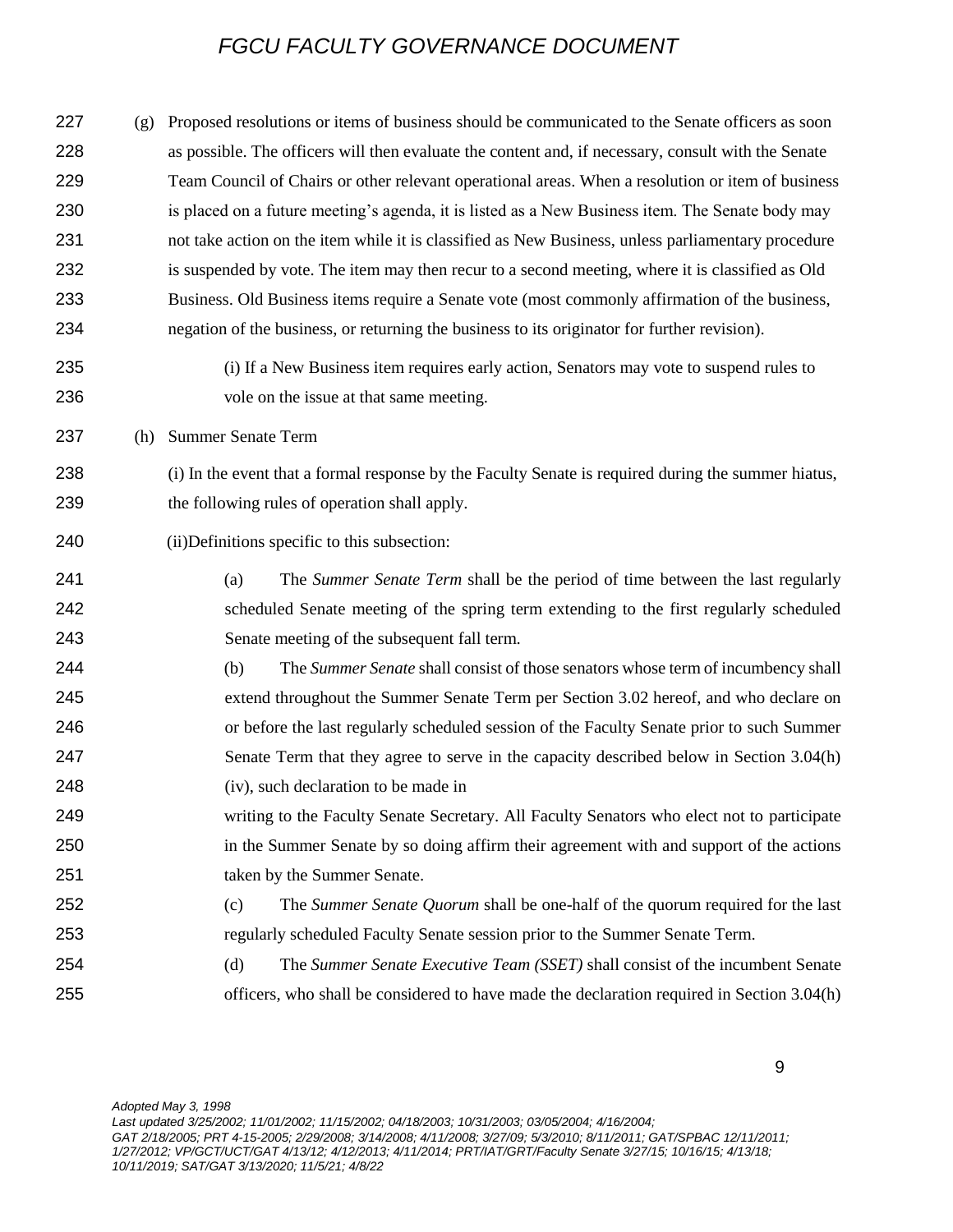(g) Proposed resolutions or items of business should be communicated to the Senate officers as soon as possible. The officers will then evaluate the content and, if necessary, consult with the Senate Team Council of Chairs or other relevant operational areas. When a resolution or item of business 230 is placed on a future meeting's agenda, it is listed as a New Business item. The Senate body may not take action on the item while it is classified as New Business, unless parliamentary procedure is suspended by vote. The item may then recur to a second meeting, where it is classified as Old Business. Old Business items require a Senate vote (most commonly affirmation of the business, negation of the business, or returning the business to its originator for further revision).

 (i) If a New Business item requires early action, Senators may vote to suspend rules to vole on the issue at that same meeting.

(h) Summer Senate Term

 (i) In the event that a formal response by the Faculty Senate is required during the summer hiatus, the following rules of operation shall apply.

### (ii)Definitions specific to this subsection:

- (a) The *Summer Senate Term* shall be the period of time between the last regularly scheduled Senate meeting of the spring term extending to the first regularly scheduled Senate meeting of the subsequent fall term.
- (b) The *Summer Senate* shall consist of those senators whose term of incumbency shall extend throughout the Summer Senate Term per Section 3.02 hereof, and who declare on or before the last regularly scheduled session of the Faculty Senate prior to such Summer Senate Term that they agree to serve in the capacity described below in Section 3.04(h) (iv), such declaration to be made in
- writing to the Faculty Senate Secretary. All Faculty Senators who elect not to participate in the Summer Senate by so doing affirm their agreement with and support of the actions taken by the Summer Senate.
- (c) The *Summer Senate Quorum* shall be one-half of the quorum required for the last regularly scheduled Faculty Senate session prior to the Summer Senate Term.
- (d) The *Summer Senate Executive Team (SSET)* shall consist of the incumbent Senate officers, who shall be considered to have made the declaration required in Section 3.04(h)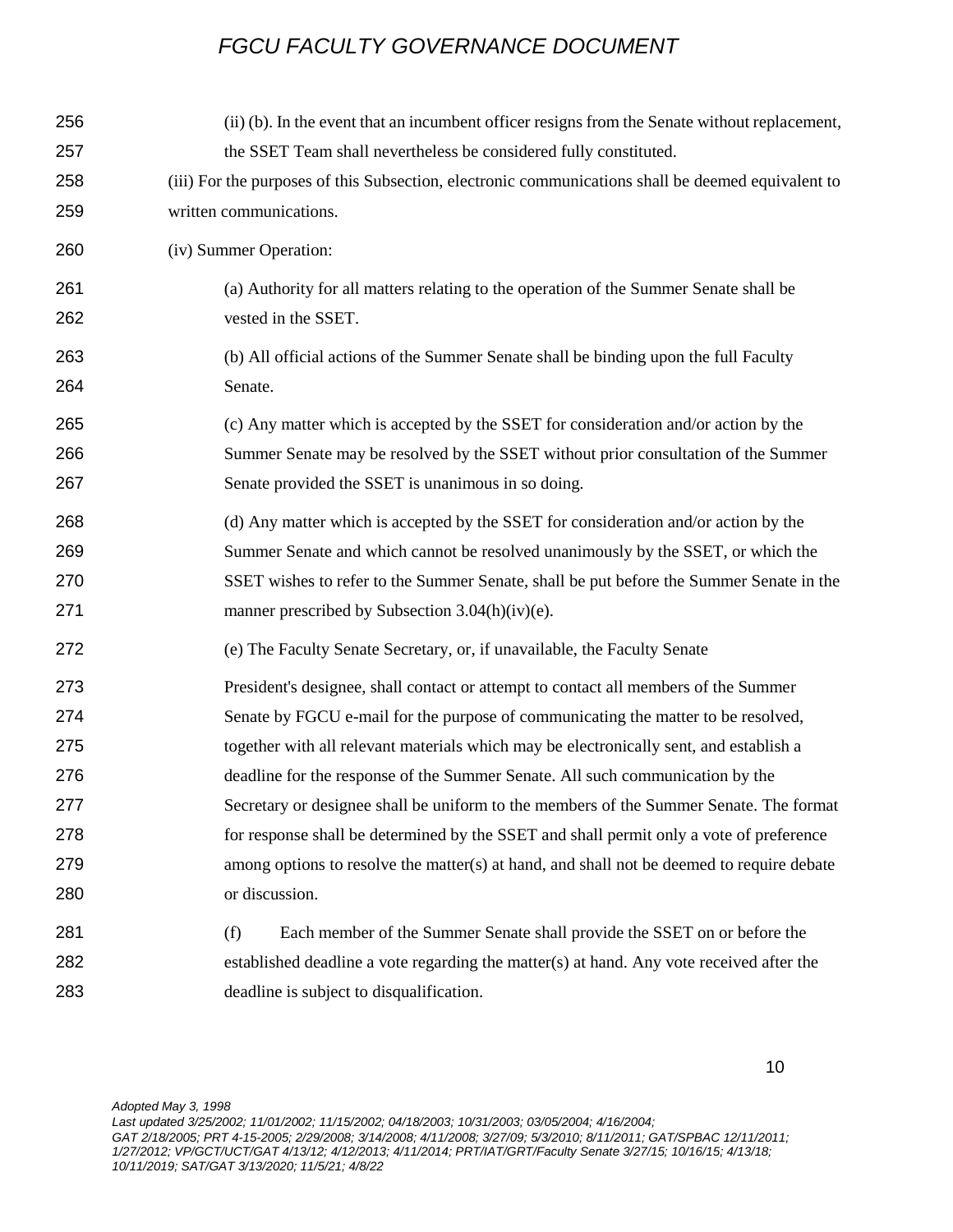| 256 | (ii) (b). In the event that an incumbent officer resigns from the Senate without replacement,      |
|-----|----------------------------------------------------------------------------------------------------|
| 257 | the SSET Team shall nevertheless be considered fully constituted.                                  |
| 258 | (iii) For the purposes of this Subsection, electronic communications shall be deemed equivalent to |
| 259 | written communications.                                                                            |
| 260 | (iv) Summer Operation:                                                                             |
| 261 | (a) Authority for all matters relating to the operation of the Summer Senate shall be              |
| 262 | vested in the SSET.                                                                                |
| 263 | (b) All official actions of the Summer Senate shall be binding upon the full Faculty               |
| 264 | Senate.                                                                                            |
| 265 | (c) Any matter which is accepted by the SSET for consideration and/or action by the                |
| 266 | Summer Senate may be resolved by the SSET without prior consultation of the Summer                 |
| 267 | Senate provided the SSET is unanimous in so doing.                                                 |
| 268 | (d) Any matter which is accepted by the SSET for consideration and/or action by the                |
| 269 | Summer Senate and which cannot be resolved unanimously by the SSET, or which the                   |
| 270 | SSET wishes to refer to the Summer Senate, shall be put before the Summer Senate in the            |
| 271 | manner prescribed by Subsection 3.04(h)(iv)(e).                                                    |
| 272 | (e) The Faculty Senate Secretary, or, if unavailable, the Faculty Senate                           |
| 273 | President's designee, shall contact or attempt to contact all members of the Summer                |
| 274 | Senate by FGCU e-mail for the purpose of communicating the matter to be resolved,                  |
| 275 | together with all relevant materials which may be electronically sent, and establish a             |
| 276 | deadline for the response of the Summer Senate. All such communication by the                      |
| 277 | Secretary or designee shall be uniform to the members of the Summer Senate. The format             |
| 278 | for response shall be determined by the SSET and shall permit only a vote of preference            |
| 279 | among options to resolve the matter(s) at hand, and shall not be deemed to require debate          |
| 280 | or discussion.                                                                                     |
| 281 | (f)<br>Each member of the Summer Senate shall provide the SSET on or before the                    |
| 282 | established deadline a vote regarding the matter(s) at hand. Any vote received after the           |
| 283 | deadline is subject to disqualification.                                                           |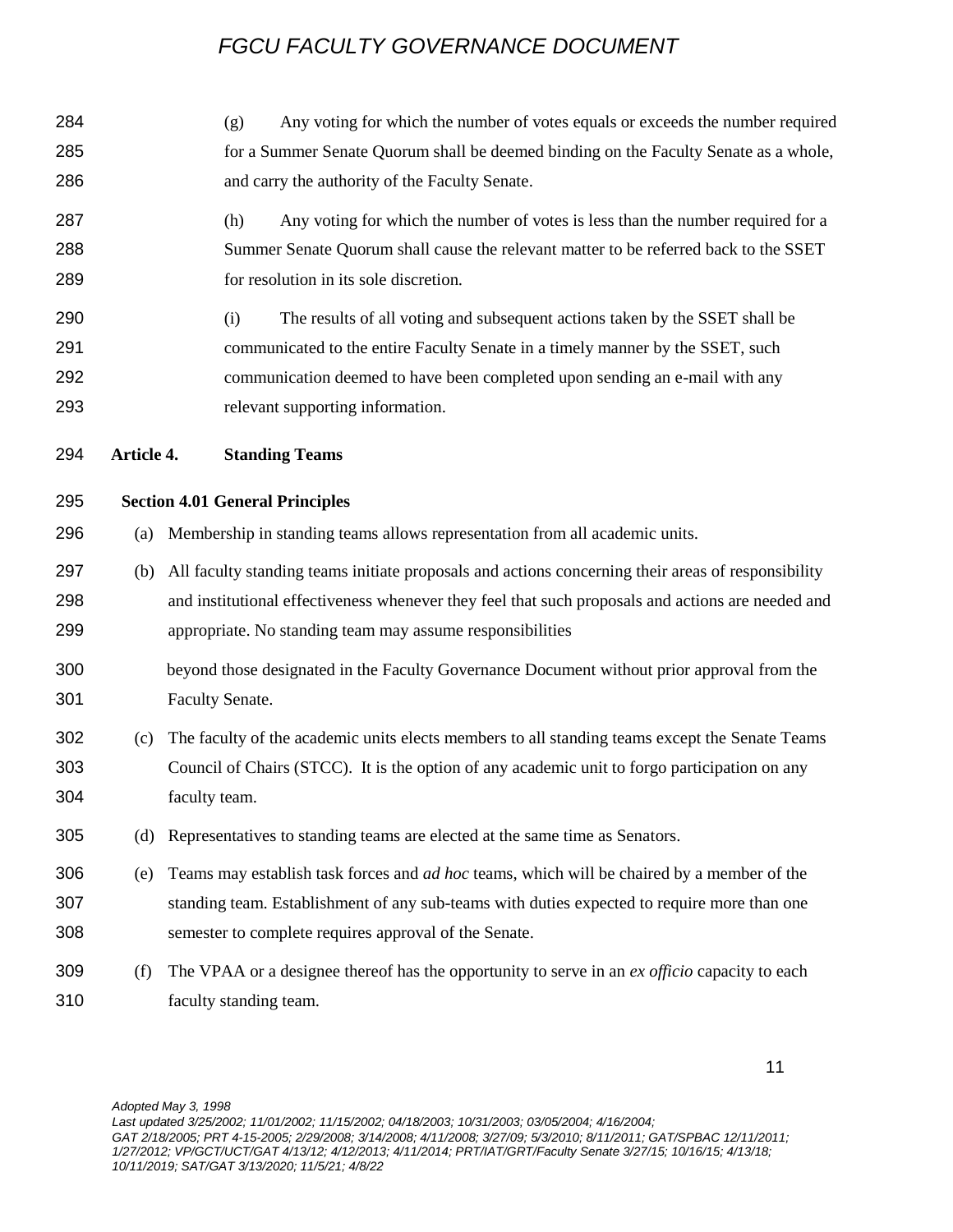| 284                      |            | Any voting for which the number of votes equals or exceeds the number required<br>(g)                                                                                                                                                                                                   |
|--------------------------|------------|-----------------------------------------------------------------------------------------------------------------------------------------------------------------------------------------------------------------------------------------------------------------------------------------|
| 285                      |            | for a Summer Senate Quorum shall be deemed binding on the Faculty Senate as a whole,                                                                                                                                                                                                    |
| 286                      |            | and carry the authority of the Faculty Senate.                                                                                                                                                                                                                                          |
| 287<br>288<br>289        |            | Any voting for which the number of votes is less than the number required for a<br>(h)<br>Summer Senate Quorum shall cause the relevant matter to be referred back to the SSET<br>for resolution in its sole discretion.                                                                |
| 290<br>291<br>292<br>293 |            | The results of all voting and subsequent actions taken by the SSET shall be<br>(i)<br>communicated to the entire Faculty Senate in a timely manner by the SSET, such<br>communication deemed to have been completed upon sending an e-mail with any<br>relevant supporting information. |
| 294                      | Article 4. | <b>Standing Teams</b>                                                                                                                                                                                                                                                                   |
| 295                      |            | <b>Section 4.01 General Principles</b>                                                                                                                                                                                                                                                  |
| 296                      | (a)        | Membership in standing teams allows representation from all academic units.                                                                                                                                                                                                             |
| 297<br>298<br>299        | (b)        | All faculty standing teams initiate proposals and actions concerning their areas of responsibility<br>and institutional effectiveness whenever they feel that such proposals and actions are needed and<br>appropriate. No standing team may assume responsibilities                    |
| 300<br>301               |            | beyond those designated in the Faculty Governance Document without prior approval from the<br>Faculty Senate.                                                                                                                                                                           |
| 302<br>303<br>304        | (c)        | The faculty of the academic units elects members to all standing teams except the Senate Teams<br>Council of Chairs (STCC). It is the option of any academic unit to forgo participation on any<br>faculty team.                                                                        |
| 305                      | (d)        | Representatives to standing teams are elected at the same time as Senators.                                                                                                                                                                                                             |
| 306<br>307<br>308        | (e)        | Teams may establish task forces and <i>ad hoc</i> teams, which will be chaired by a member of the<br>standing team. Establishment of any sub-teams with duties expected to require more than one<br>semester to complete requires approval of the Senate.                               |
| 309<br>310               | (f)        | The VPAA or a designee thereof has the opportunity to serve in an ex officio capacity to each<br>faculty standing team.                                                                                                                                                                 |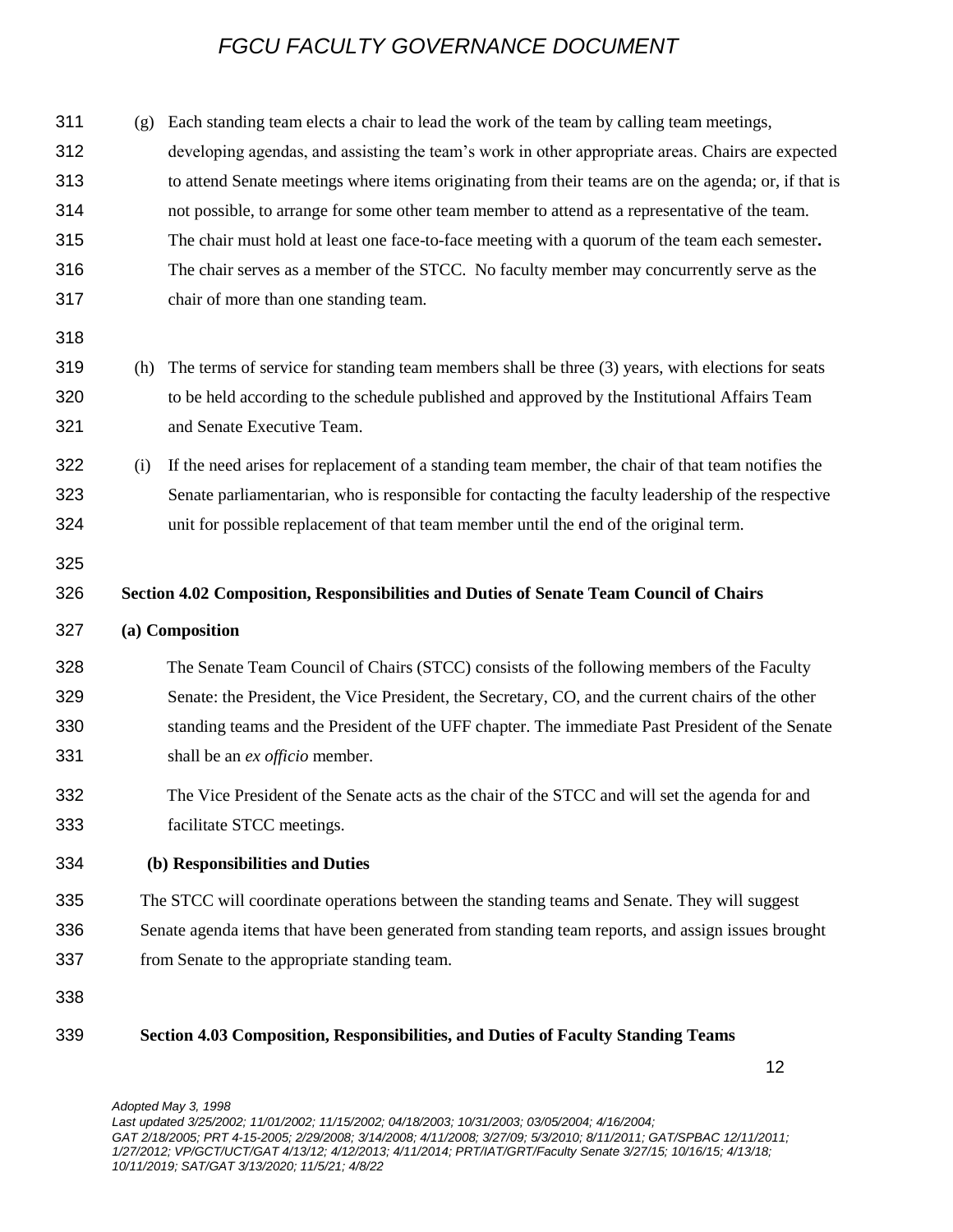(g) Each standing team elects a chair to lead the work of the team by calling team meetings, developing agendas, and assisting the team's work in other appropriate areas. Chairs are expected to attend Senate meetings where items originating from their teams are on the agenda; or, if that is not possible, to arrange for some other team member to attend as a representative of the team. The chair must hold at least one face-to-face meeting with a quorum of the team each semester**.**  The chair serves as a member of the STCC. No faculty member may concurrently serve as the chair of more than one standing team. (h) The terms of service for standing team members shall be three (3) years, with elections for seats to be held according to the schedule published and approved by the Institutional Affairs Team and Senate Executive Team. (i) If the need arises for replacement of a standing team member, the chair of that team notifies the Senate parliamentarian, who is responsible for contacting the faculty leadership of the respective unit for possible replacement of that team member until the end of the original term. **Section 4.02 Composition, Responsibilities and Duties of Senate Team Council of Chairs (a) Composition**  The Senate Team Council of Chairs (STCC) consists of the following members of the Faculty Senate: the President, the Vice President, the Secretary, CO, and the current chairs of the other standing teams and the President of the UFF chapter. The immediate Past President of the Senate shall be an *ex officio* member. The Vice President of the Senate acts as the chair of the STCC and will set the agenda for and facilitate STCC meetings. **(b) Responsibilities and Duties**  The STCC will coordinate operations between the standing teams and Senate. They will suggest Senate agenda items that have been generated from standing team reports, and assign issues brought from Senate to the appropriate standing team. **Section 4.03 Composition, Responsibilities, and Duties of Faculty Standing Teams**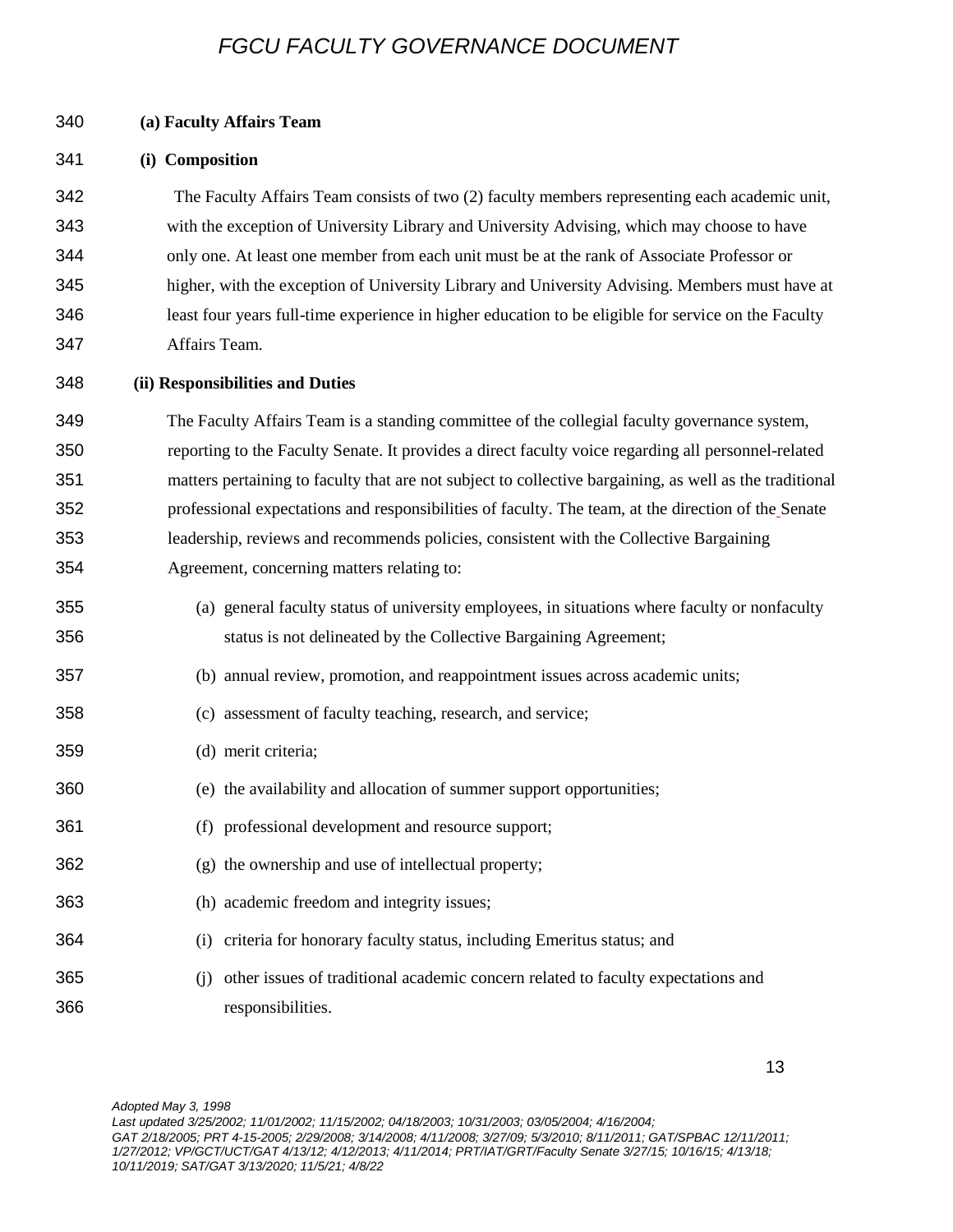### **(a) Faculty Affairs Team**

### **(i) Composition**

 The Faculty Affairs Team consists of two (2) faculty members representing each academic unit, with the exception of University Library and University Advising, which may choose to have only one. At least one member from each unit must be at the rank of Associate Professor or higher, with the exception of University Library and University Advising. Members must have at least four years full-time experience in higher education to be eligible for service on the Faculty Affairs Team.

### **(ii) Responsibilities and Duties**

 The Faculty Affairs Team is a standing committee of the collegial faculty governance system, reporting to the Faculty Senate. It provides a direct faculty voice regarding all personnel-related matters pertaining to faculty that are not subject to collective bargaining, as well as the traditional professional expectations and responsibilities of faculty. The team, at the direction of the Senate leadership, reviews and recommends policies, consistent with the Collective Bargaining Agreement, concerning matters relating to:

- (a) general faculty status of university employees, in situations where faculty or nonfaculty status is not delineated by the Collective Bargaining Agreement;
- (b) annual review, promotion, and reappointment issues across academic units;
- (c) assessment of faculty teaching, research, and service;
- (d) merit criteria;
- (e) the availability and allocation of summer support opportunities;
- (f) professional development and resource support;
- (g) the ownership and use of intellectual property;
- (h) academic freedom and integrity issues;
- (i) criteria for honorary faculty status, including Emeritus status; and
- (j) other issues of traditional academic concern related to faculty expectations and responsibilities.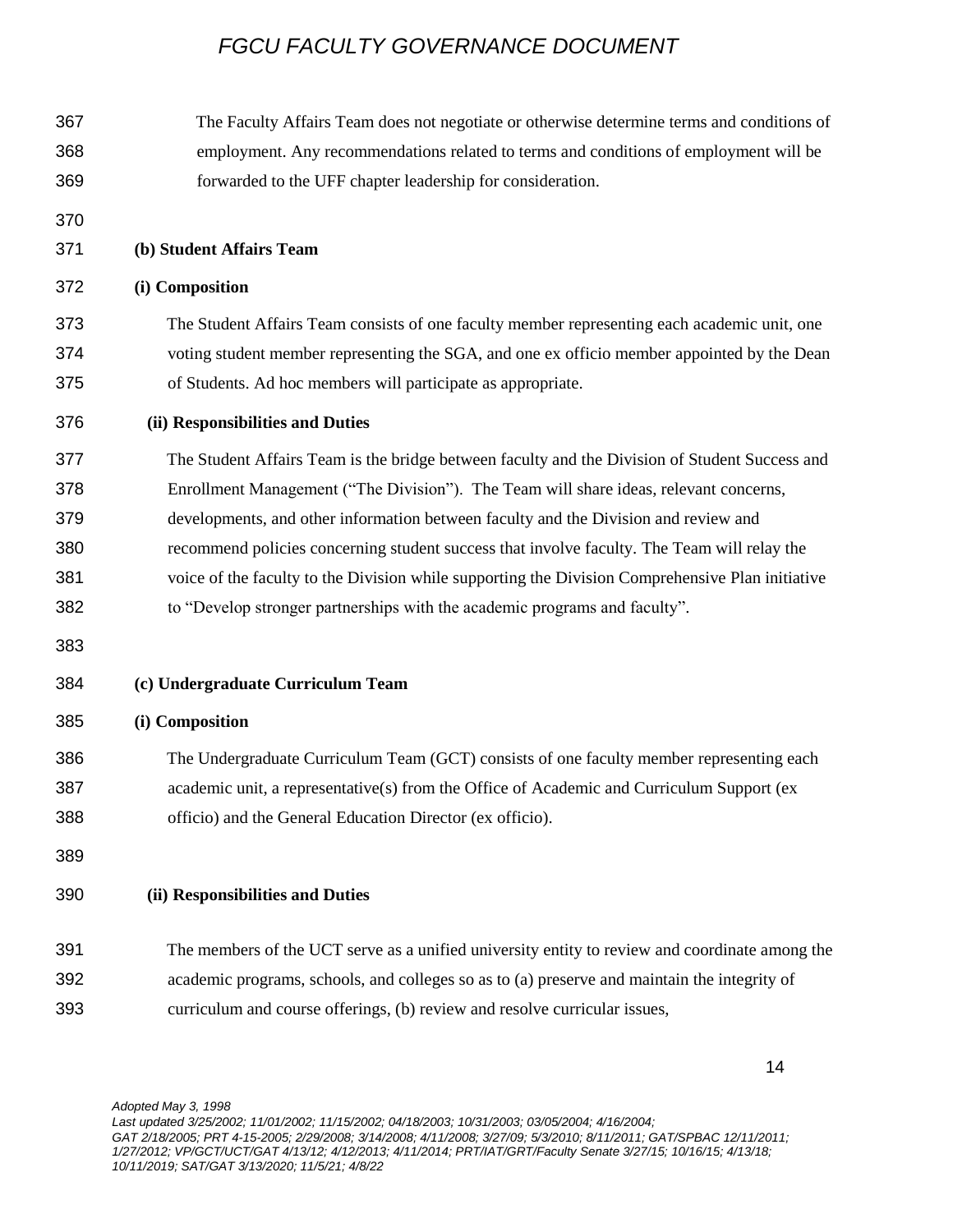| 367 | The Faculty Affairs Team does not negotiate or otherwise determine terms and conditions of       |
|-----|--------------------------------------------------------------------------------------------------|
| 368 | employment. Any recommendations related to terms and conditions of employment will be            |
| 369 | forwarded to the UFF chapter leadership for consideration.                                       |
| 370 |                                                                                                  |
| 371 | (b) Student Affairs Team                                                                         |
| 372 | (i) Composition                                                                                  |
| 373 | The Student Affairs Team consists of one faculty member representing each academic unit, one     |
| 374 | voting student member representing the SGA, and one ex officio member appointed by the Dean      |
| 375 | of Students. Ad hoc members will participate as appropriate.                                     |
| 376 | (ii) Responsibilities and Duties                                                                 |
| 377 | The Student Affairs Team is the bridge between faculty and the Division of Student Success and   |
| 378 | Enrollment Management ("The Division"). The Team will share ideas, relevant concerns,            |
| 379 | developments, and other information between faculty and the Division and review and              |
| 380 | recommend policies concerning student success that involve faculty. The Team will relay the      |
| 381 | voice of the faculty to the Division while supporting the Division Comprehensive Plan initiative |
| 382 | to "Develop stronger partnerships with the academic programs and faculty".                       |
| 383 |                                                                                                  |
| 384 | (c) Undergraduate Curriculum Team                                                                |
| 385 | (i) Composition                                                                                  |
| 386 | The Undergraduate Curriculum Team (GCT) consists of one faculty member representing each         |
| 387 | academic unit, a representative(s) from the Office of Academic and Curriculum Support (ex        |
| 388 | officio) and the General Education Director (ex officio).                                        |
| 389 |                                                                                                  |
| 390 | (ii) Responsibilities and Duties                                                                 |
| 391 | The members of the UCT serve as a unified university entity to review and coordinate among the   |
| 392 | academic programs, schools, and colleges so as to (a) preserve and maintain the integrity of     |
| 393 | curriculum and course offerings, (b) review and resolve curricular issues,                       |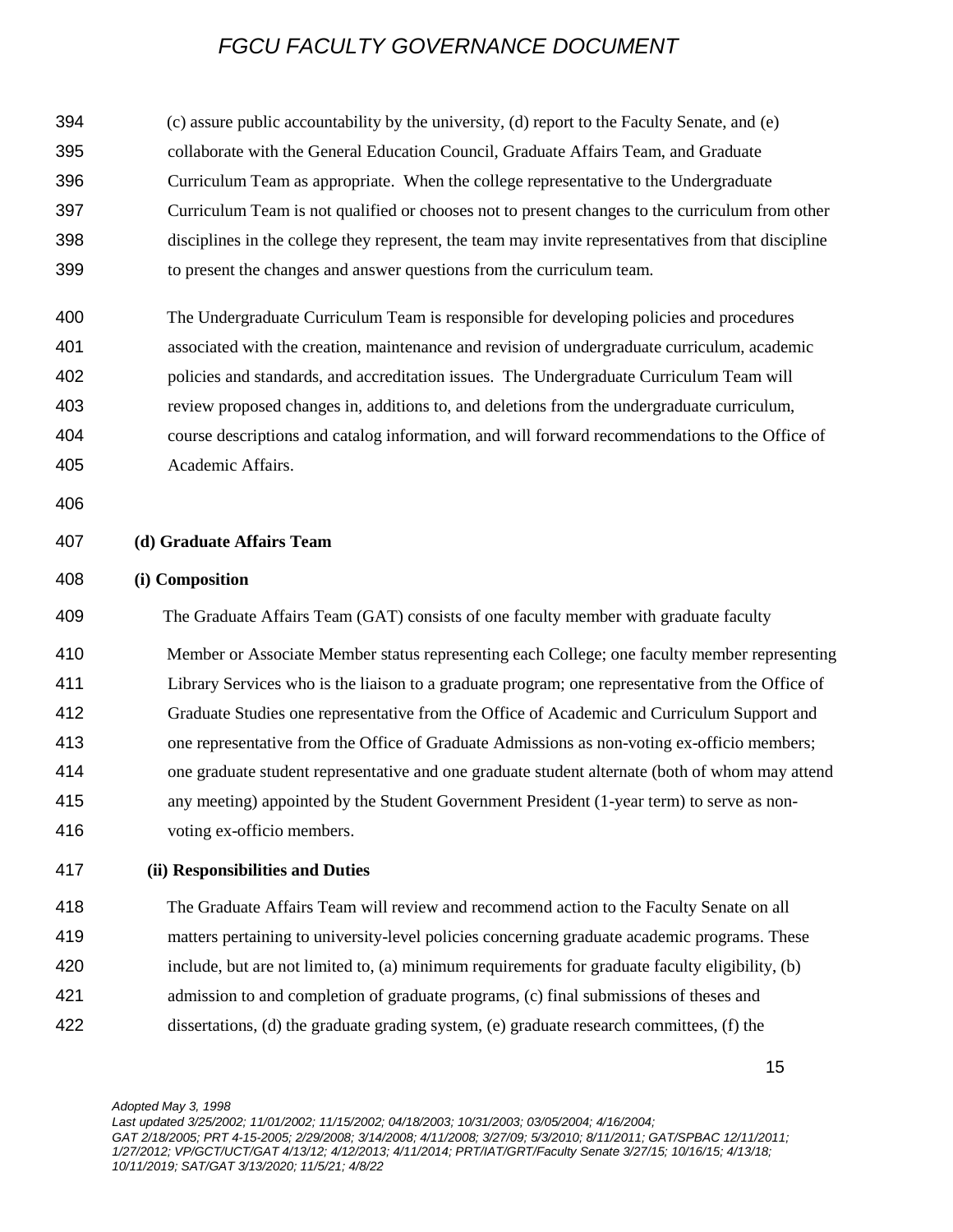(c) assure public accountability by the university, (d) report to the Faculty Senate, and (e) collaborate with the General Education Council, Graduate Affairs Team, and Graduate Curriculum Team as appropriate. When the college representative to the Undergraduate Curriculum Team is not qualified or chooses not to present changes to the curriculum from other disciplines in the college they represent, the team may invite representatives from that discipline to present the changes and answer questions from the curriculum team.

- The Undergraduate Curriculum Team is responsible for developing policies and procedures associated with the creation, maintenance and revision of undergraduate curriculum, academic policies and standards, and accreditation issues. The Undergraduate Curriculum Team will review proposed changes in, additions to, and deletions from the undergraduate curriculum, course descriptions and catalog information, and will forward recommendations to the Office of Academic Affairs.
- 

### **(d) Graduate Affairs Team**

### **(i) Composition**

 The Graduate Affairs Team (GAT) consists of one faculty member with graduate faculty Member or Associate Member status representing each College; one faculty member representing Library Services who is the liaison to a graduate program; one representative from the Office of Graduate Studies one representative from the Office of Academic and Curriculum Support and one representative from the Office of Graduate Admissions as non-voting ex-officio members; one graduate student representative and one graduate student alternate (both of whom may attend any meeting) appointed by the Student Government President (1-year term) to serve as non-voting ex-officio members.

### **(ii) Responsibilities and Duties**

 The Graduate Affairs Team will review and recommend action to the Faculty Senate on all matters pertaining to university-level policies concerning graduate academic programs. These include, but are not limited to, (a) minimum requirements for graduate faculty eligibility, (b) admission to and completion of graduate programs, (c) final submissions of theses and

dissertations, (d) the graduate grading system, (e) graduate research committees, (f) the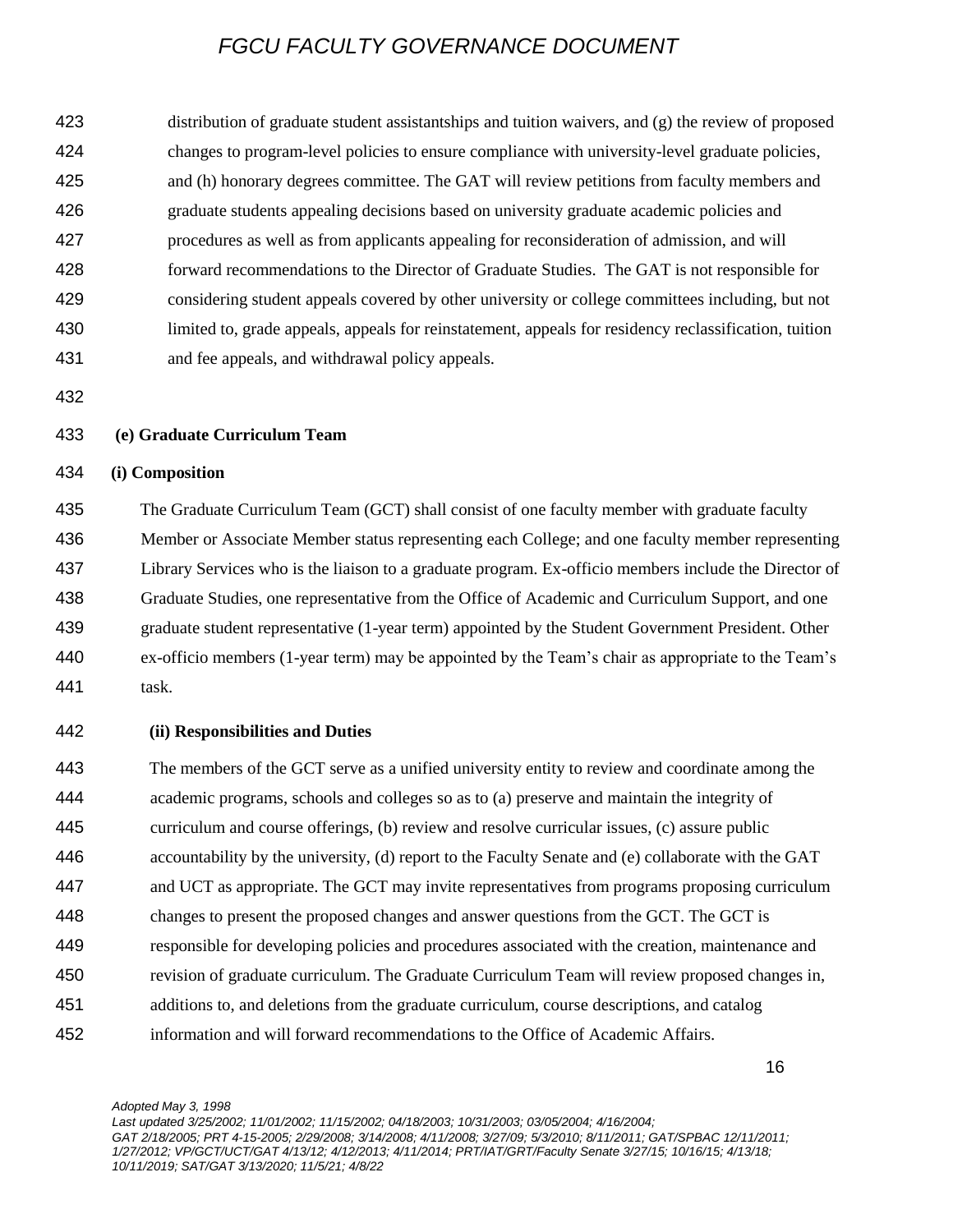distribution of graduate student assistantships and tuition waivers, and (g) the review of proposed changes to program-level policies to ensure compliance with university-level graduate policies, and (h) honorary degrees committee. The GAT will review petitions from faculty members and graduate students appealing decisions based on university graduate academic policies and procedures as well as from applicants appealing for reconsideration of admission, and will forward recommendations to the Director of Graduate Studies. The GAT is not responsible for considering student appeals covered by other university or college committees including, but not limited to, grade appeals, appeals for reinstatement, appeals for residency reclassification, tuition and fee appeals, and withdrawal policy appeals.

### **(e) Graduate Curriculum Team**

### **(i) Composition**

 The Graduate Curriculum Team (GCT) shall consist of one faculty member with graduate faculty Member or Associate Member status representing each College; and one faculty member representing Library Services who is the liaison to a graduate program. Ex-officio members include the Director of Graduate Studies, one representative from the Office of Academic and Curriculum Support, and one graduate student representative (1-year term) appointed by the Student Government President. Other ex-officio members (1-year term) may be appointed by the Team's chair as appropriate to the Team's task.

#### **(ii) Responsibilities and Duties**

 The members of the GCT serve as a unified university entity to review and coordinate among the academic programs, schools and colleges so as to (a) preserve and maintain the integrity of curriculum and course offerings, (b) review and resolve curricular issues, (c) assure public accountability by the university, (d) report to the Faculty Senate and (e) collaborate with the GAT and UCT as appropriate. The GCT may invite representatives from programs proposing curriculum changes to present the proposed changes and answer questions from the GCT. The GCT is responsible for developing policies and procedures associated with the creation, maintenance and revision of graduate curriculum. The Graduate Curriculum Team will review proposed changes in, additions to, and deletions from the graduate curriculum, course descriptions, and catalog information and will forward recommendations to the Office of Academic Affairs.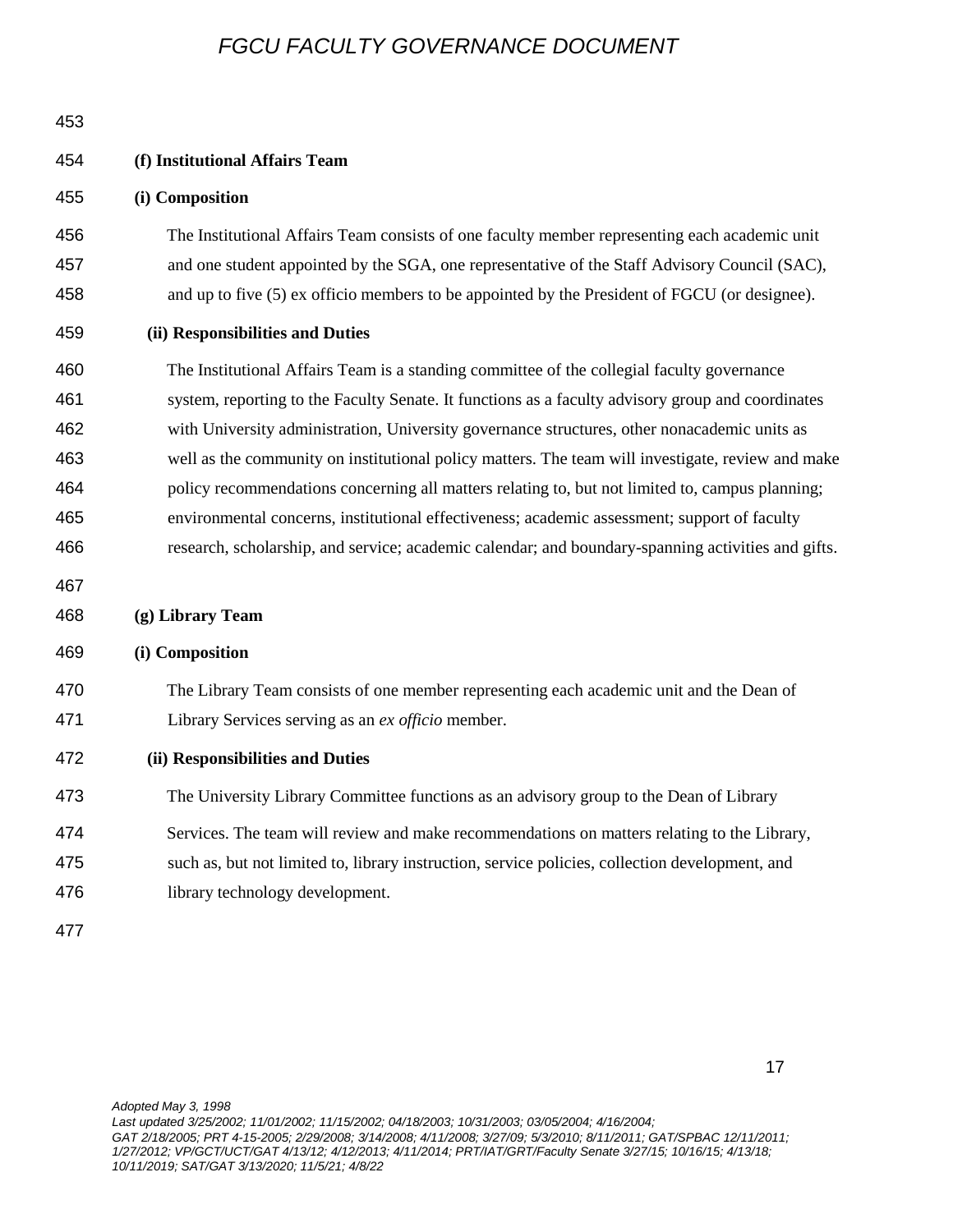| 453                                                                |                                                                                                                                                                                                                                                                                                                                                                                                                                                                                                                                                                                                                                                                                                                                                      |
|--------------------------------------------------------------------|------------------------------------------------------------------------------------------------------------------------------------------------------------------------------------------------------------------------------------------------------------------------------------------------------------------------------------------------------------------------------------------------------------------------------------------------------------------------------------------------------------------------------------------------------------------------------------------------------------------------------------------------------------------------------------------------------------------------------------------------------|
| 454                                                                | (f) Institutional Affairs Team                                                                                                                                                                                                                                                                                                                                                                                                                                                                                                                                                                                                                                                                                                                       |
| 455                                                                | (i) Composition                                                                                                                                                                                                                                                                                                                                                                                                                                                                                                                                                                                                                                                                                                                                      |
| 456<br>457<br>458                                                  | The Institutional Affairs Team consists of one faculty member representing each academic unit<br>and one student appointed by the SGA, one representative of the Staff Advisory Council (SAC),<br>and up to five (5) ex officio members to be appointed by the President of FGCU (or designee).                                                                                                                                                                                                                                                                                                                                                                                                                                                      |
| 459                                                                | (ii) Responsibilities and Duties                                                                                                                                                                                                                                                                                                                                                                                                                                                                                                                                                                                                                                                                                                                     |
| 460<br>461<br>462<br>463<br>464<br>465<br>466<br>467<br>468<br>469 | The Institutional Affairs Team is a standing committee of the collegial faculty governance<br>system, reporting to the Faculty Senate. It functions as a faculty advisory group and coordinates<br>with University administration, University governance structures, other nonacademic units as<br>well as the community on institutional policy matters. The team will investigate, review and make<br>policy recommendations concerning all matters relating to, but not limited to, campus planning;<br>environmental concerns, institutional effectiveness; academic assessment; support of faculty<br>research, scholarship, and service; academic calendar; and boundary-spanning activities and gifts.<br>(g) Library Team<br>(i) Composition |
| 470<br>471                                                         | The Library Team consists of one member representing each academic unit and the Dean of<br>Library Services serving as an ex officio member.                                                                                                                                                                                                                                                                                                                                                                                                                                                                                                                                                                                                         |
| 472                                                                | (ii) Responsibilities and Duties                                                                                                                                                                                                                                                                                                                                                                                                                                                                                                                                                                                                                                                                                                                     |
| 473                                                                | The University Library Committee functions as an advisory group to the Dean of Library                                                                                                                                                                                                                                                                                                                                                                                                                                                                                                                                                                                                                                                               |
| 474<br>475<br>476                                                  | Services. The team will review and make recommendations on matters relating to the Library,<br>such as, but not limited to, library instruction, service policies, collection development, and<br>library technology development.                                                                                                                                                                                                                                                                                                                                                                                                                                                                                                                    |
| 477                                                                |                                                                                                                                                                                                                                                                                                                                                                                                                                                                                                                                                                                                                                                                                                                                                      |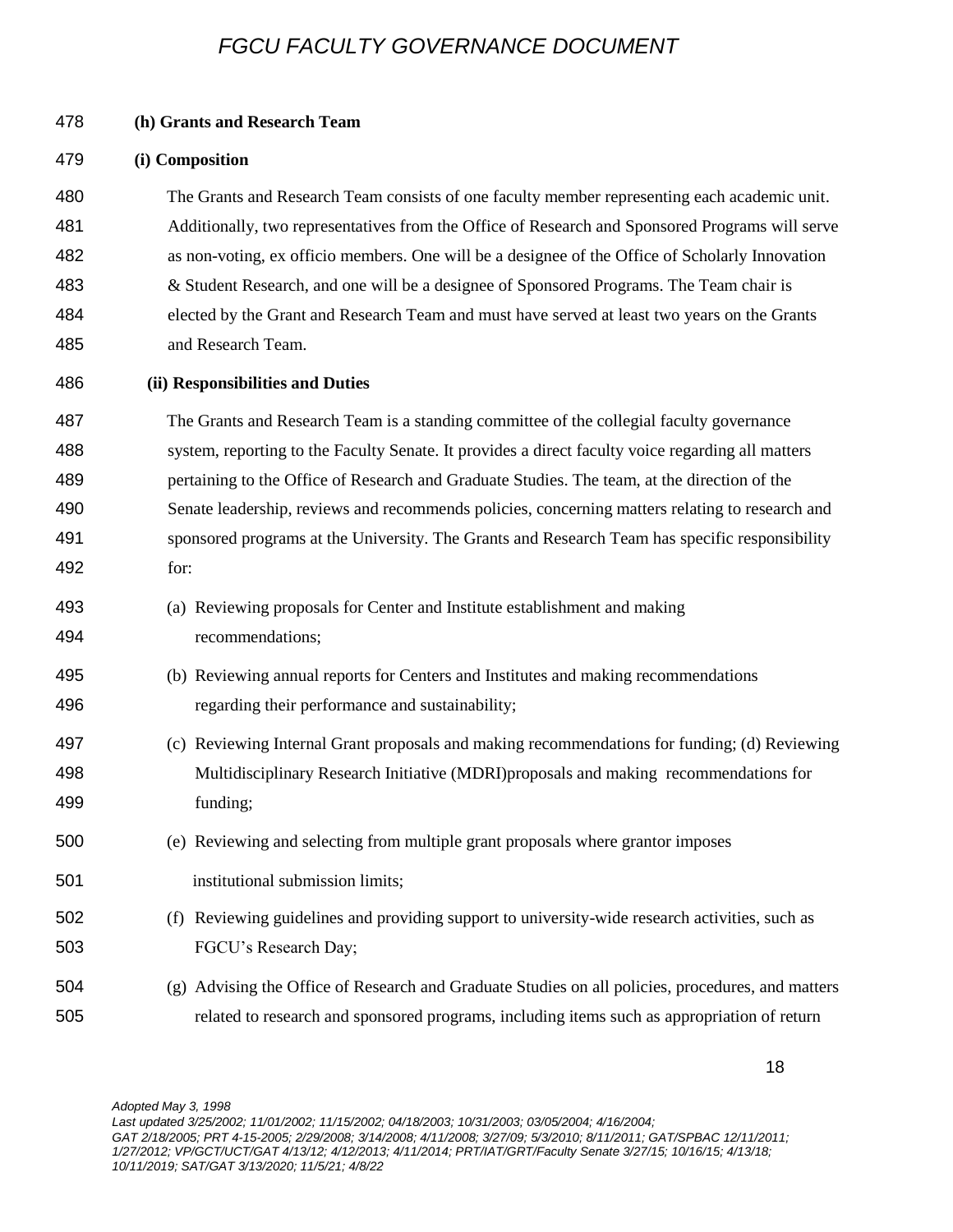| 478 | (h) Grants and Research Team                                                                      |
|-----|---------------------------------------------------------------------------------------------------|
| 479 | (i) Composition                                                                                   |
| 480 | The Grants and Research Team consists of one faculty member representing each academic unit.      |
| 481 | Additionally, two representatives from the Office of Research and Sponsored Programs will serve   |
| 482 | as non-voting, ex officio members. One will be a designee of the Office of Scholarly Innovation   |
| 483 | & Student Research, and one will be a designee of Sponsored Programs. The Team chair is           |
| 484 | elected by the Grant and Research Team and must have served at least two years on the Grants      |
| 485 | and Research Team.                                                                                |
| 486 | (ii) Responsibilities and Duties                                                                  |
| 487 | The Grants and Research Team is a standing committee of the collegial faculty governance          |
| 488 | system, reporting to the Faculty Senate. It provides a direct faculty voice regarding all matters |
| 489 | pertaining to the Office of Research and Graduate Studies. The team, at the direction of the      |
| 490 | Senate leadership, reviews and recommends policies, concerning matters relating to research and   |
| 491 | sponsored programs at the University. The Grants and Research Team has specific responsibility    |
| 492 | for:                                                                                              |
| 493 | (a) Reviewing proposals for Center and Institute establishment and making                         |
| 494 | recommendations;                                                                                  |
| 495 | (b) Reviewing annual reports for Centers and Institutes and making recommendations                |
| 496 | regarding their performance and sustainability;                                                   |
| 497 | (c) Reviewing Internal Grant proposals and making recommendations for funding; (d) Reviewing      |
| 498 | Multidisciplinary Research Initiative (MDRI)proposals and making recommendations for              |
| 499 | funding;                                                                                          |
| 500 | (e) Reviewing and selecting from multiple grant proposals where grantor imposes                   |
| 501 | institutional submission limits;                                                                  |
| 502 | (f) Reviewing guidelines and providing support to university-wide research activities, such as    |
| 503 | FGCU's Research Day;                                                                              |
| 504 | (g) Advising the Office of Research and Graduate Studies on all policies, procedures, and matters |
| 505 | related to research and sponsored programs, including items such as appropriation of return       |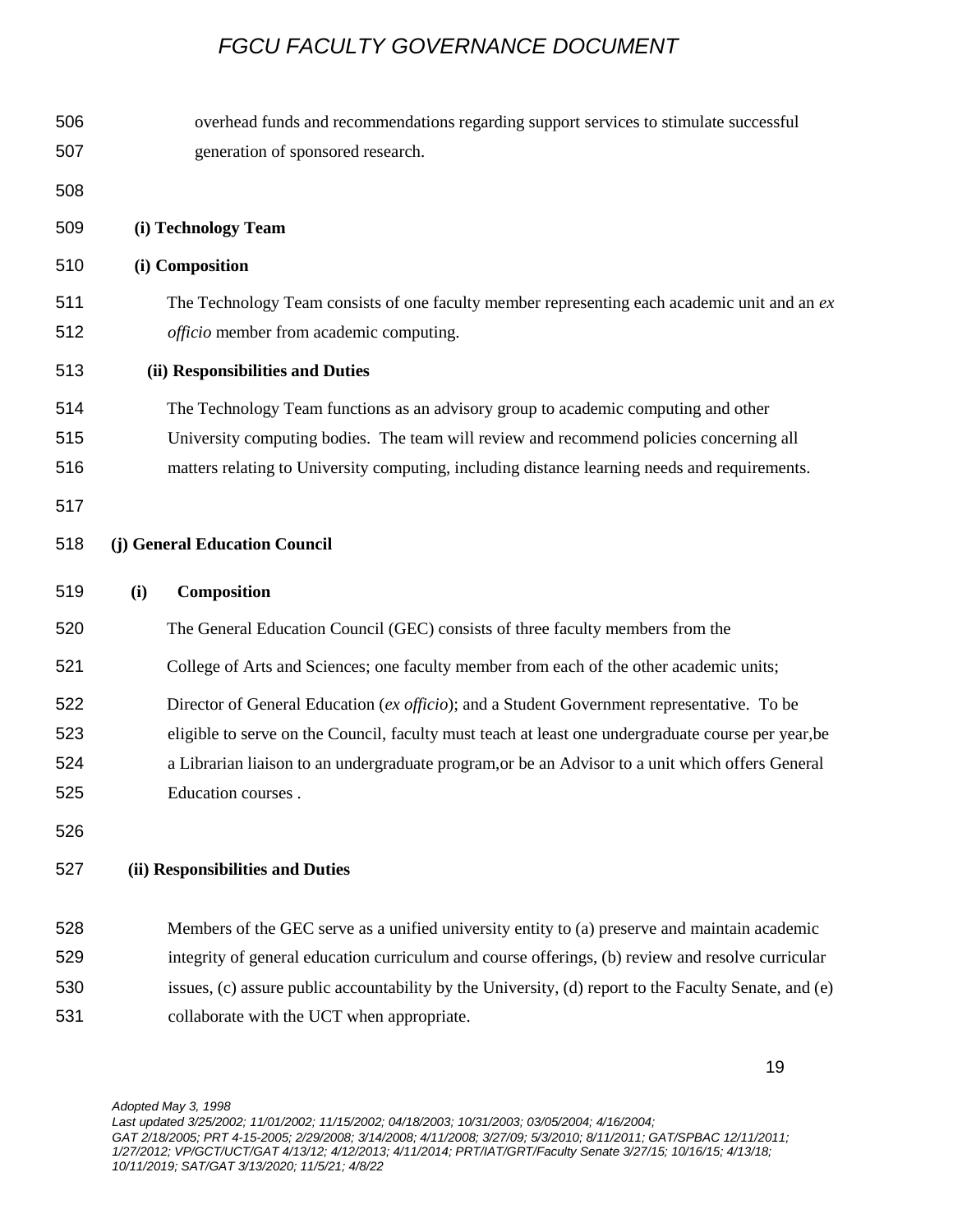| 506<br>507               | overhead funds and recommendations regarding support services to stimulate successful<br>generation of sponsored research.                                                                                                                                                                                                  |
|--------------------------|-----------------------------------------------------------------------------------------------------------------------------------------------------------------------------------------------------------------------------------------------------------------------------------------------------------------------------|
| 508                      |                                                                                                                                                                                                                                                                                                                             |
| 509                      | (i) Technology Team                                                                                                                                                                                                                                                                                                         |
| 510                      | (i) Composition                                                                                                                                                                                                                                                                                                             |
| 511<br>512               | The Technology Team consists of one faculty member representing each academic unit and an $ex$<br>officio member from academic computing.                                                                                                                                                                                   |
| 513                      | (ii) Responsibilities and Duties                                                                                                                                                                                                                                                                                            |
| 514<br>515<br>516        | The Technology Team functions as an advisory group to academic computing and other<br>University computing bodies. The team will review and recommend policies concerning all<br>matters relating to University computing, including distance learning needs and requirements.                                              |
| 517                      |                                                                                                                                                                                                                                                                                                                             |
| 518                      | (j) General Education Council                                                                                                                                                                                                                                                                                               |
| 519                      | Composition<br>(i)                                                                                                                                                                                                                                                                                                          |
| 520                      | The General Education Council (GEC) consists of three faculty members from the                                                                                                                                                                                                                                              |
| 521                      | College of Arts and Sciences; one faculty member from each of the other academic units;                                                                                                                                                                                                                                     |
| 522<br>523<br>524<br>525 | Director of General Education (ex officio); and a Student Government representative. To be<br>eligible to serve on the Council, faculty must teach at least one undergraduate course per year, be<br>a Librarian liaison to an undergraduate program, or be an Advisor to a unit which offers General<br>Education courses. |
| 526                      |                                                                                                                                                                                                                                                                                                                             |
| 527                      | (ii) Responsibilities and Duties                                                                                                                                                                                                                                                                                            |
| 528<br>529               | Members of the GEC serve as a unified university entity to (a) preserve and maintain academic<br>integrity of general education curriculum and course offerings, (b) review and resolve curricular                                                                                                                          |
| 530                      | issues, (c) assure public accountability by the University, (d) report to the Faculty Senate, and (e)                                                                                                                                                                                                                       |
| 531                      | collaborate with the UCT when appropriate.                                                                                                                                                                                                                                                                                  |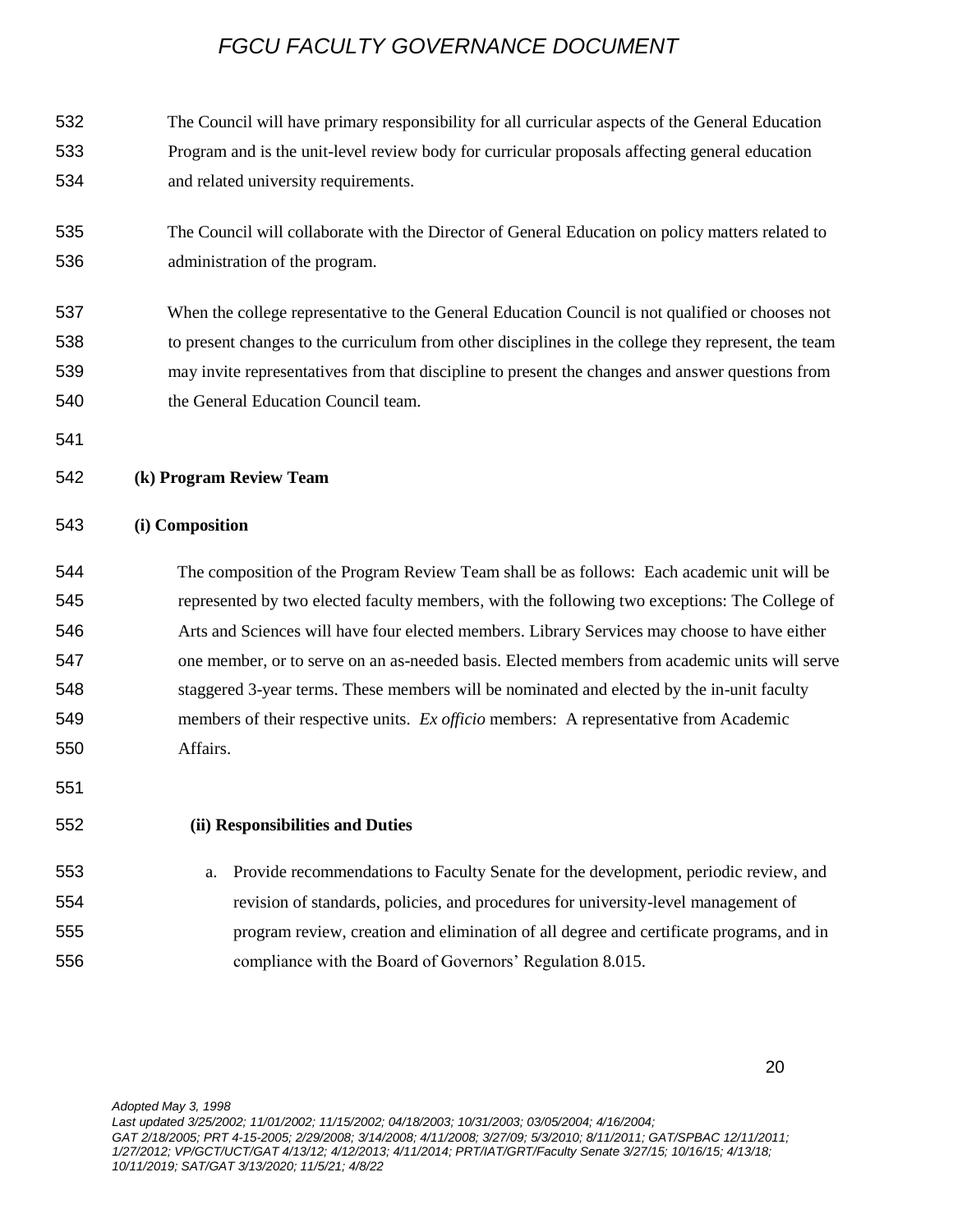The Council will have primary responsibility for all curricular aspects of the General Education Program and is the unit-level review body for curricular proposals affecting general education and related university requirements.

- The Council will collaborate with the Director of General Education on policy matters related to administration of the program.
- When the college representative to the General Education Council is not qualified or chooses not to present changes to the curriculum from other disciplines in the college they represent, the team may invite representatives from that discipline to present the changes and answer questions from the General Education Council team.
- 

### **(k) Program Review Team**

### **(i) Composition**

# The composition of the Program Review Team shall be as follows: Each academic unit will be represented by two elected faculty members, with the following two exceptions: The College of Arts and Sciences will have four elected members. Library Services may choose to have either one member, or to serve on an as-needed basis. Elected members from academic units will serve staggered 3-year terms. These members will be nominated and elected by the in-unit faculty members of their respective units. *Ex officio* members: A representative from Academic Affairs.

### **(ii) Responsibilities and Duties**

 a. Provide recommendations to Faculty Senate for the development, periodic review, and revision of standards, policies, and procedures for university-level management of program review, creation and elimination of all degree and certificate programs, and in compliance with the Board of Governors' Regulation 8.015.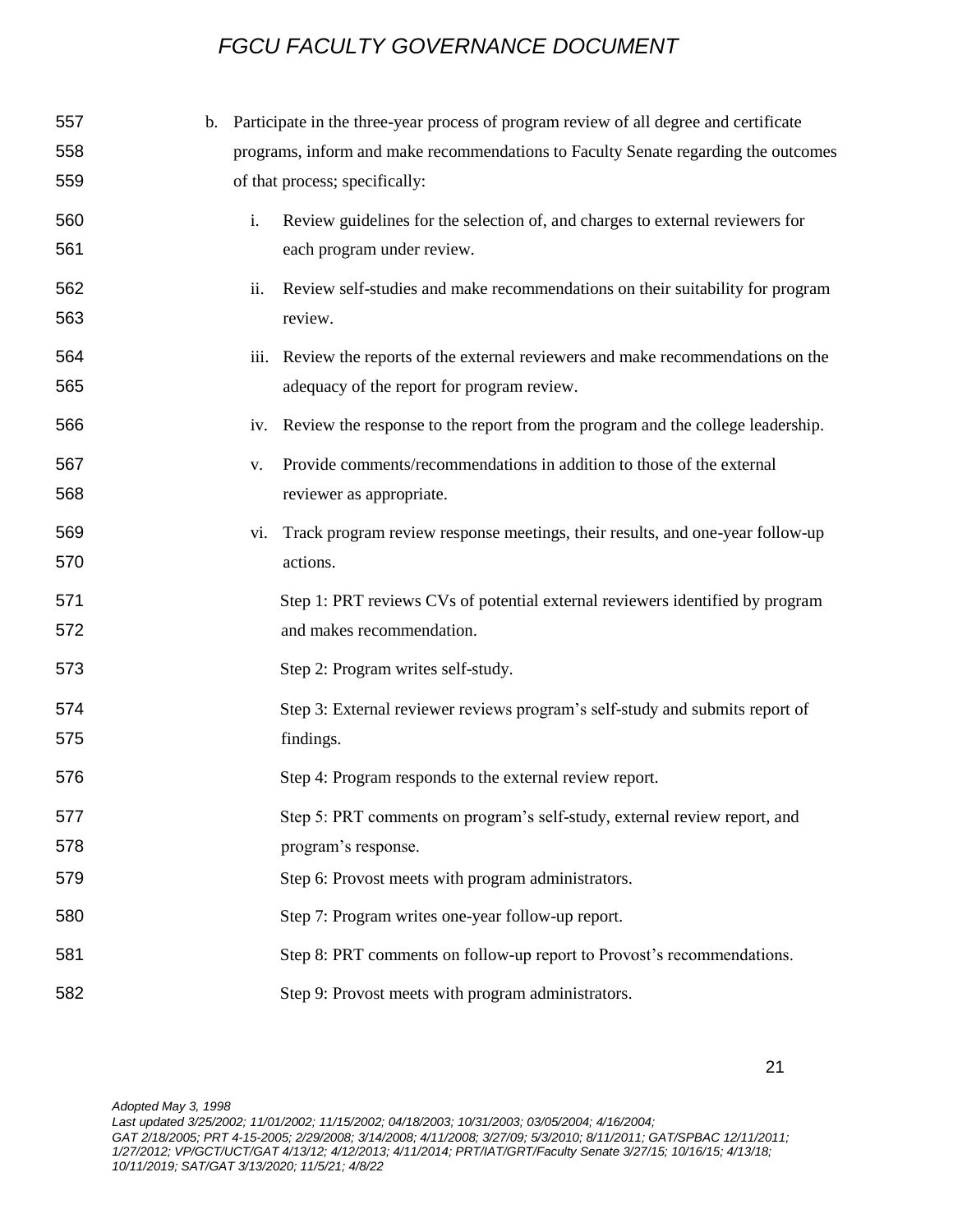| 557 | $\mathbf{b}$ . |     | Participate in the three-year process of program review of all degree and certificate |
|-----|----------------|-----|---------------------------------------------------------------------------------------|
| 558 |                |     | programs, inform and make recommendations to Faculty Senate regarding the outcomes    |
| 559 |                |     | of that process; specifically:                                                        |
| 560 |                | i.  | Review guidelines for the selection of, and charges to external reviewers for         |
| 561 |                |     | each program under review.                                                            |
| 562 |                | ii. | Review self-studies and make recommendations on their suitability for program         |
| 563 |                |     | review.                                                                               |
| 564 |                |     | iii. Review the reports of the external reviewers and make recommendations on the     |
| 565 |                |     | adequacy of the report for program review.                                            |
| 566 |                |     | iv. Review the response to the report from the program and the college leadership.    |
| 567 |                | V.  | Provide comments/recommendations in addition to those of the external                 |
| 568 |                |     | reviewer as appropriate.                                                              |
| 569 |                |     | vi. Track program review response meetings, their results, and one-year follow-up     |
| 570 |                |     | actions.                                                                              |
| 571 |                |     | Step 1: PRT reviews CVs of potential external reviewers identified by program         |
| 572 |                |     | and makes recommendation.                                                             |
| 573 |                |     | Step 2: Program writes self-study.                                                    |
| 574 |                |     | Step 3: External reviewer reviews program's self-study and submits report of          |
| 575 |                |     | findings.                                                                             |
| 576 |                |     | Step 4: Program responds to the external review report.                               |
| 577 |                |     | Step 5: PRT comments on program's self-study, external review report, and             |
| 578 |                |     | program's response.                                                                   |
| 579 |                |     | Step 6: Provost meets with program administrators.                                    |
| 580 |                |     | Step 7: Program writes one-year follow-up report.                                     |
| 581 |                |     | Step 8: PRT comments on follow-up report to Provost's recommendations.                |
| 582 |                |     | Step 9: Provost meets with program administrators.                                    |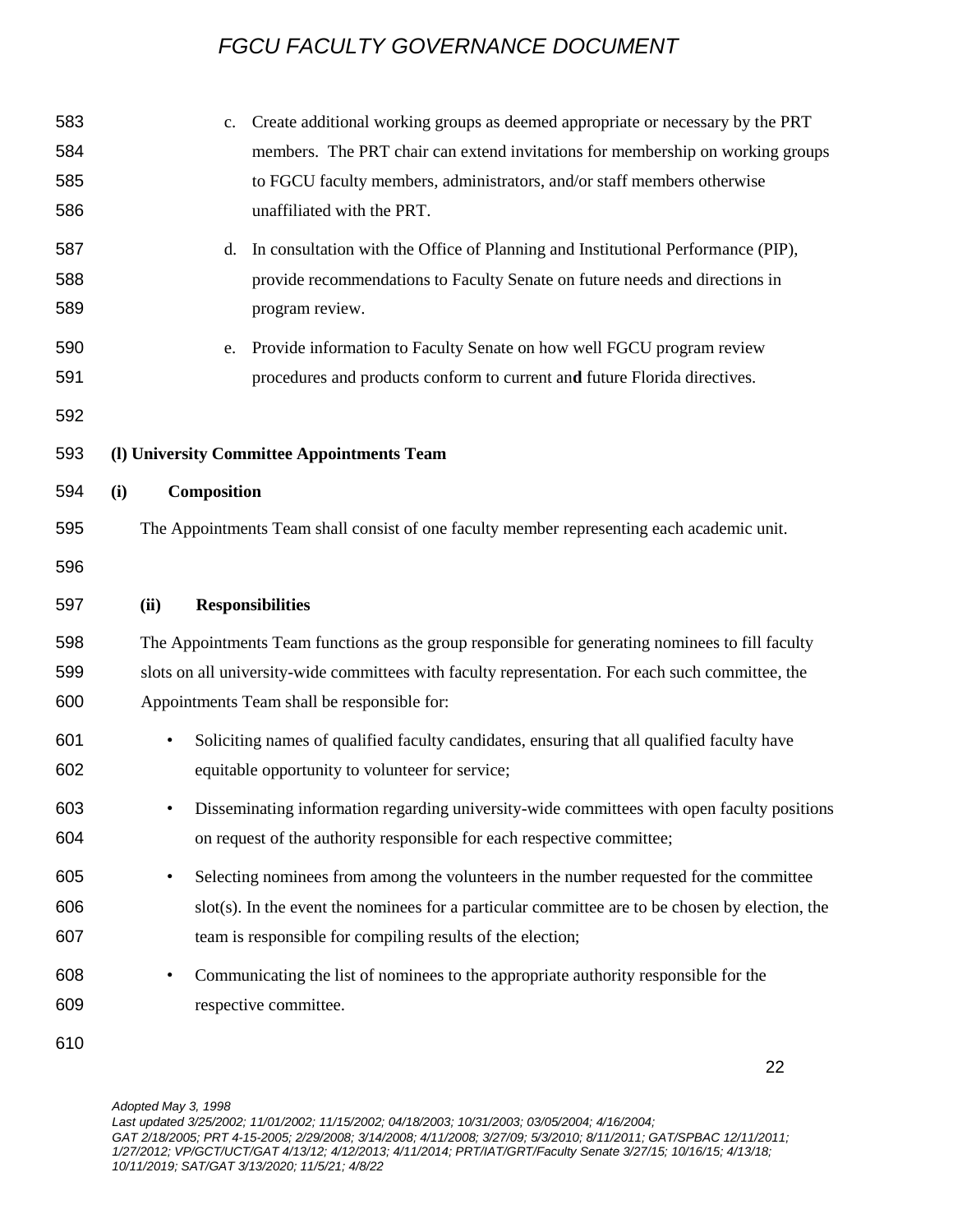| 583<br>584<br>585<br>586 |                                                                                                                                                                                                                                                      | Create additional working groups as deemed appropriate or necessary by the PRT<br>c.<br>members. The PRT chair can extend invitations for membership on working groups<br>to FGCU faculty members, administrators, and/or staff members otherwise<br>unaffiliated with the PRT. |  |  |  |  |
|--------------------------|------------------------------------------------------------------------------------------------------------------------------------------------------------------------------------------------------------------------------------------------------|---------------------------------------------------------------------------------------------------------------------------------------------------------------------------------------------------------------------------------------------------------------------------------|--|--|--|--|
| 587<br>588<br>589        |                                                                                                                                                                                                                                                      | In consultation with the Office of Planning and Institutional Performance (PIP),<br>d.<br>provide recommendations to Faculty Senate on future needs and directions in<br>program review.                                                                                        |  |  |  |  |
| 590<br>591               |                                                                                                                                                                                                                                                      | Provide information to Faculty Senate on how well FGCU program review<br>e.<br>procedures and products conform to current and future Florida directives.                                                                                                                        |  |  |  |  |
| 592                      |                                                                                                                                                                                                                                                      |                                                                                                                                                                                                                                                                                 |  |  |  |  |
| 593                      | (l) University Committee Appointments Team                                                                                                                                                                                                           |                                                                                                                                                                                                                                                                                 |  |  |  |  |
| 594                      | Composition<br>(i)                                                                                                                                                                                                                                   |                                                                                                                                                                                                                                                                                 |  |  |  |  |
| 595                      | The Appointments Team shall consist of one faculty member representing each academic unit.                                                                                                                                                           |                                                                                                                                                                                                                                                                                 |  |  |  |  |
| 596                      |                                                                                                                                                                                                                                                      |                                                                                                                                                                                                                                                                                 |  |  |  |  |
| 597                      | (ii)                                                                                                                                                                                                                                                 | <b>Responsibilities</b>                                                                                                                                                                                                                                                         |  |  |  |  |
| 598<br>599<br>600        | The Appointments Team functions as the group responsible for generating nominees to fill faculty<br>slots on all university-wide committees with faculty representation. For each such committee, the<br>Appointments Team shall be responsible for: |                                                                                                                                                                                                                                                                                 |  |  |  |  |
| 601<br>602               | Soliciting names of qualified faculty candidates, ensuring that all qualified faculty have<br>$\bullet$<br>equitable opportunity to volunteer for service;                                                                                           |                                                                                                                                                                                                                                                                                 |  |  |  |  |
| 603<br>604               | Disseminating information regarding university-wide committees with open faculty positions<br>on request of the authority responsible for each respective committee;                                                                                 |                                                                                                                                                                                                                                                                                 |  |  |  |  |
| 605<br>606<br>607        | $\bullet$                                                                                                                                                                                                                                            | Selecting nominees from among the volunteers in the number requested for the committee<br>slot(s). In the event the nominees for a particular committee are to be chosen by election, the<br>team is responsible for compiling results of the election;                         |  |  |  |  |
| 608<br>609               |                                                                                                                                                                                                                                                      | Communicating the list of nominees to the appropriate authority responsible for the<br>respective committee.                                                                                                                                                                    |  |  |  |  |
| 610                      |                                                                                                                                                                                                                                                      |                                                                                                                                                                                                                                                                                 |  |  |  |  |